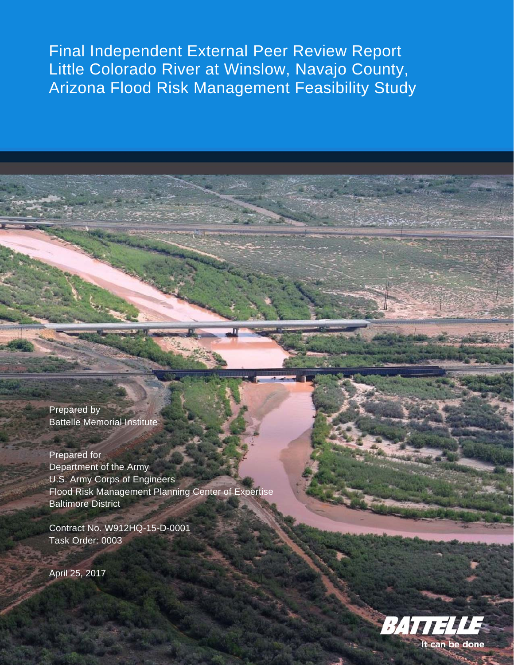Final Independent External Peer Review Report Little Colorado River at Winslow, Navajo County, Arizona Flood Risk Management Feasibility Study

Prepared by Battelle Memorial Institute

Prepared for Department of the Army U.S. Army Corps of Engineers Flood Risk Management Planning Center of Expertise Baltimore District

Contract No. W912HQ-15-D-0001 Task Order: 0003

April 25, 2017

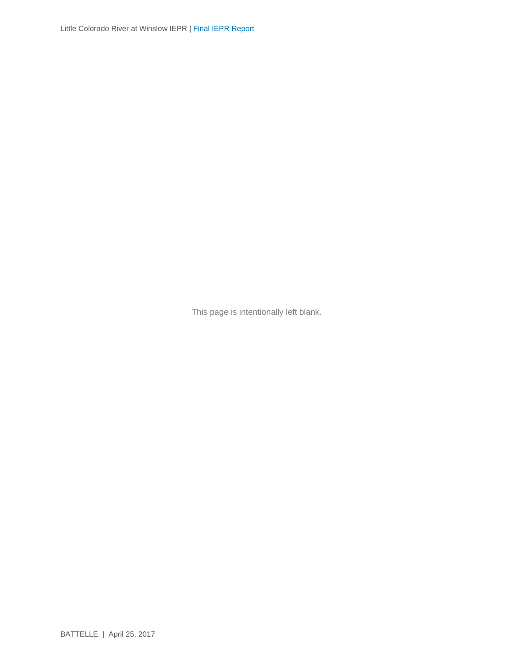This page is intentionally left blank.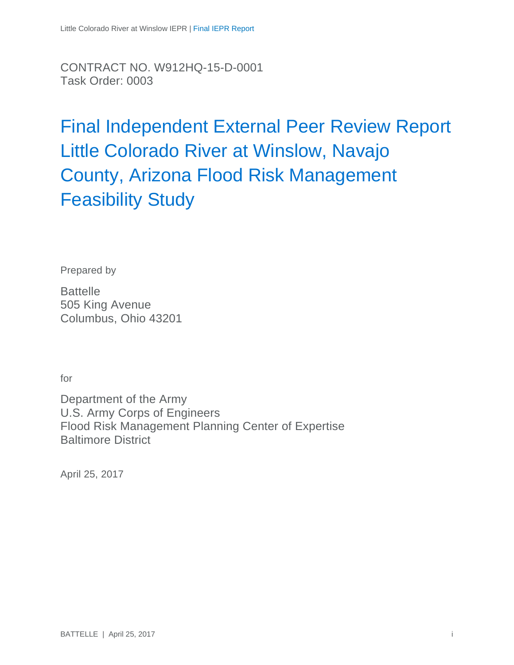CONTRACT NO. W912HQ-15-D-0001 Task Order: 0003

# Final Independent External Peer Review Report Little Colorado River at Winslow, Navajo County, Arizona Flood Risk Management Feasibility Study

Prepared by

Battelle 505 King Avenue Columbus, Ohio 43201

for

Department of the Army U.S. Army Corps of Engineers Flood Risk Management Planning Center of Expertise Baltimore District

April 25, 2017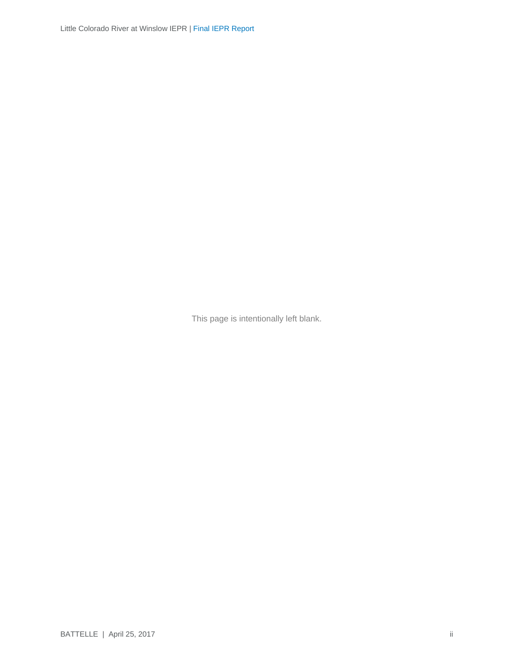This page is intentionally left blank.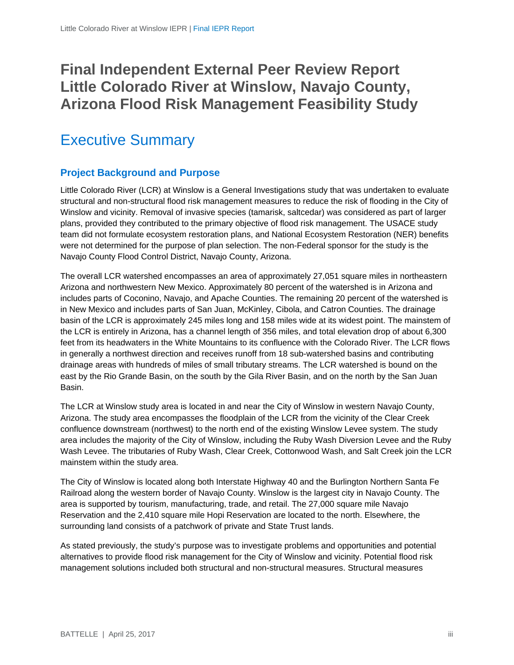# **Final Independent External Peer Review Report Little Colorado River at Winslow, Navajo County, Arizona Flood Risk Management Feasibility Study**

# Executive Summary

# **Project Background and Purpose**

Little Colorado River (LCR) at Winslow is a General Investigations study that was undertaken to evaluate structural and non-structural flood risk management measures to reduce the risk of flooding in the City of Winslow and vicinity. Removal of invasive species (tamarisk, saltcedar) was considered as part of larger plans, provided they contributed to the primary objective of flood risk management. The USACE study team did not formulate ecosystem restoration plans, and National Ecosystem Restoration (NER) benefits were not determined for the purpose of plan selection. The non-Federal sponsor for the study is the Navajo County Flood Control District, Navajo County, Arizona.

The overall LCR watershed encompasses an area of approximately 27,051 square miles in northeastern Arizona and northwestern New Mexico. Approximately 80 percent of the watershed is in Arizona and includes parts of Coconino, Navajo, and Apache Counties. The remaining 20 percent of the watershed is in New Mexico and includes parts of San Juan, McKinley, Cibola, and Catron Counties. The drainage basin of the LCR is approximately 245 miles long and 158 miles wide at its widest point. The mainstem of the LCR is entirely in Arizona, has a channel length of 356 miles, and total elevation drop of about 6,300 feet from its headwaters in the White Mountains to its confluence with the Colorado River. The LCR flows in generally a northwest direction and receives runoff from 18 sub-watershed basins and contributing drainage areas with hundreds of miles of small tributary streams. The LCR watershed is bound on the east by the Rio Grande Basin, on the south by the Gila River Basin, and on the north by the San Juan Basin.

The LCR at Winslow study area is located in and near the City of Winslow in western Navajo County, Arizona. The study area encompasses the floodplain of the LCR from the vicinity of the Clear Creek confluence downstream (northwest) to the north end of the existing Winslow Levee system. The study area includes the majority of the City of Winslow, including the Ruby Wash Diversion Levee and the Ruby Wash Levee. The tributaries of Ruby Wash, Clear Creek, Cottonwood Wash, and Salt Creek join the LCR mainstem within the study area.

The City of Winslow is located along both Interstate Highway 40 and the Burlington Northern Santa Fe Railroad along the western border of Navajo County. Winslow is the largest city in Navajo County. The area is supported by tourism, manufacturing, trade, and retail. The 27,000 square mile Navajo Reservation and the 2,410 square mile Hopi Reservation are located to the north. Elsewhere, the surrounding land consists of a patchwork of private and State Trust lands.

As stated previously, the study's purpose was to investigate problems and opportunities and potential alternatives to provide flood risk management for the City of Winslow and vicinity. Potential flood risk management solutions included both structural and non-structural measures. Structural measures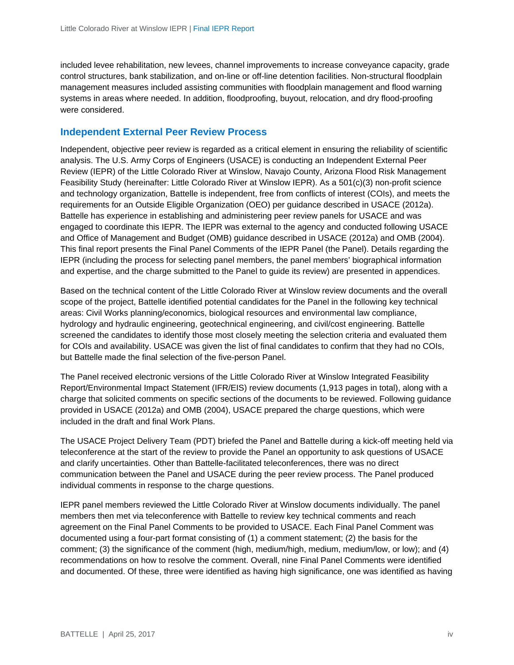included levee rehabilitation, new levees, channel improvements to increase conveyance capacity, grade control structures, bank stabilization, and on-line or off-line detention facilities. Non-structural floodplain management measures included assisting communities with floodplain management and flood warning systems in areas where needed. In addition, floodproofing, buyout, relocation, and dry flood-proofing were considered.

### **Independent External Peer Review Process**

Independent, objective peer review is regarded as a critical element in ensuring the reliability of scientific analysis. The U.S. Army Corps of Engineers (USACE) is conducting an Independent External Peer Review (IEPR) of the Little Colorado River at Winslow, Navajo County, Arizona Flood Risk Management Feasibility Study (hereinafter: Little Colorado River at Winslow IEPR). As a 501(c)(3) non-profit science and technology organization, Battelle is independent, free from conflicts of interest (COIs), and meets the requirements for an Outside Eligible Organization (OEO) per guidance described in USACE (2012a). Battelle has experience in establishing and administering peer review panels for USACE and was engaged to coordinate this IEPR. The IEPR was external to the agency and conducted following USACE and Office of Management and Budget (OMB) guidance described in USACE (2012a) and OMB (2004). This final report presents the Final Panel Comments of the IEPR Panel (the Panel). Details regarding the IEPR (including the process for selecting panel members, the panel members' biographical information and expertise, and the charge submitted to the Panel to guide its review) are presented in appendices.

Based on the technical content of the Little Colorado River at Winslow review documents and the overall scope of the project, Battelle identified potential candidates for the Panel in the following key technical areas: Civil Works planning/economics, biological resources and environmental law compliance, hydrology and hydraulic engineering, geotechnical engineering, and civil/cost engineering. Battelle screened the candidates to identify those most closely meeting the selection criteria and evaluated them for COIs and availability. USACE was given the list of final candidates to confirm that they had no COIs, but Battelle made the final selection of the five-person Panel.

The Panel received electronic versions of the Little Colorado River at Winslow Integrated Feasibility Report/Environmental Impact Statement (IFR/EIS) review documents (1,913 pages in total), along with a charge that solicited comments on specific sections of the documents to be reviewed. Following guidance provided in USACE (2012a) and OMB (2004), USACE prepared the charge questions, which were included in the draft and final Work Plans.

The USACE Project Delivery Team (PDT) briefed the Panel and Battelle during a kick-off meeting held via teleconference at the start of the review to provide the Panel an opportunity to ask questions of USACE and clarify uncertainties. Other than Battelle-facilitated teleconferences, there was no direct communication between the Panel and USACE during the peer review process. The Panel produced individual comments in response to the charge questions.

IEPR panel members reviewed the Little Colorado River at Winslow documents individually. The panel members then met via teleconference with Battelle to review key technical comments and reach agreement on the Final Panel Comments to be provided to USACE. Each Final Panel Comment was documented using a four-part format consisting of (1) a comment statement; (2) the basis for the comment; (3) the significance of the comment (high, medium/high, medium, medium/low, or low); and (4) recommendations on how to resolve the comment. Overall, nine Final Panel Comments were identified and documented. Of these, three were identified as having high significance, one was identified as having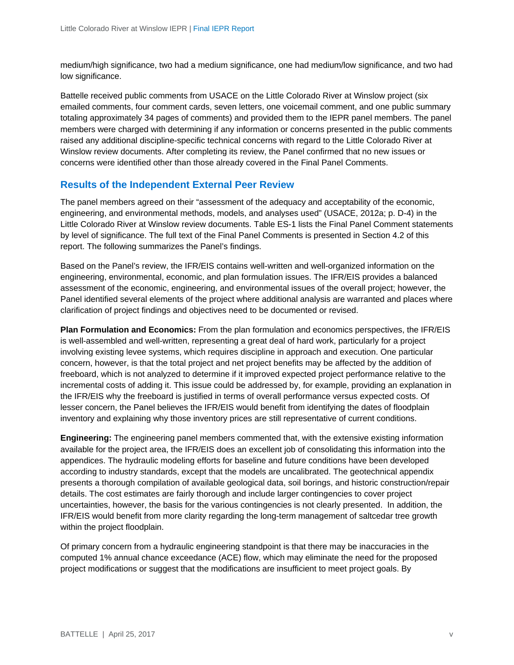medium/high significance, two had a medium significance, one had medium/low significance, and two had low significance.

Battelle received public comments from USACE on the Little Colorado River at Winslow project (six emailed comments, four comment cards, seven letters, one voicemail comment, and one public summary totaling approximately 34 pages of comments) and provided them to the IEPR panel members. The panel members were charged with determining if any information or concerns presented in the public comments raised any additional discipline-specific technical concerns with regard to the Little Colorado River at Winslow review documents. After completing its review, the Panel confirmed that no new issues or concerns were identified other than those already covered in the Final Panel Comments.

### **Results of the Independent External Peer Review**

The panel members agreed on their "assessment of the adequacy and acceptability of the economic, engineering, and environmental methods, models, and analyses used" (USACE, 2012a; p. D-4) in the Little Colorado River at Winslow review documents. Table ES-1 lists the Final Panel Comment statements by level of significance. The full text of the Final Panel Comments is presented in Section 4.2 of this report. The following summarizes the Panel's findings.

Based on the Panel's review, the IFR/EIS contains well-written and well-organized information on the engineering, environmental, economic, and plan formulation issues. The IFR/EIS provides a balanced assessment of the economic, engineering, and environmental issues of the overall project; however, the Panel identified several elements of the project where additional analysis are warranted and places where clarification of project findings and objectives need to be documented or revised.

**Plan Formulation and Economics:** From the plan formulation and economics perspectives, the IFR/EIS is well-assembled and well-written, representing a great deal of hard work, particularly for a project involving existing levee systems, which requires discipline in approach and execution. One particular concern, however, is that the total project and net project benefits may be affected by the addition of freeboard, which is not analyzed to determine if it improved expected project performance relative to the incremental costs of adding it. This issue could be addressed by, for example, providing an explanation in the IFR/EIS why the freeboard is justified in terms of overall performance versus expected costs. Of lesser concern, the Panel believes the IFR/EIS would benefit from identifying the dates of floodplain inventory and explaining why those inventory prices are still representative of current conditions.

**Engineering:** The engineering panel members commented that, with the extensive existing information available for the project area, the IFR/EIS does an excellent job of consolidating this information into the appendices. The hydraulic modeling efforts for baseline and future conditions have been developed according to industry standards, except that the models are uncalibrated. The geotechnical appendix presents a thorough compilation of available geological data, soil borings, and historic construction/repair details. The cost estimates are fairly thorough and include larger contingencies to cover project uncertainties, however, the basis for the various contingencies is not clearly presented. In addition, the IFR/EIS would benefit from more clarity regarding the long-term management of saltcedar tree growth within the project floodplain.

Of primary concern from a hydraulic engineering standpoint is that there may be inaccuracies in the computed 1% annual chance exceedance (ACE) flow, which may eliminate the need for the proposed project modifications or suggest that the modifications are insufficient to meet project goals. By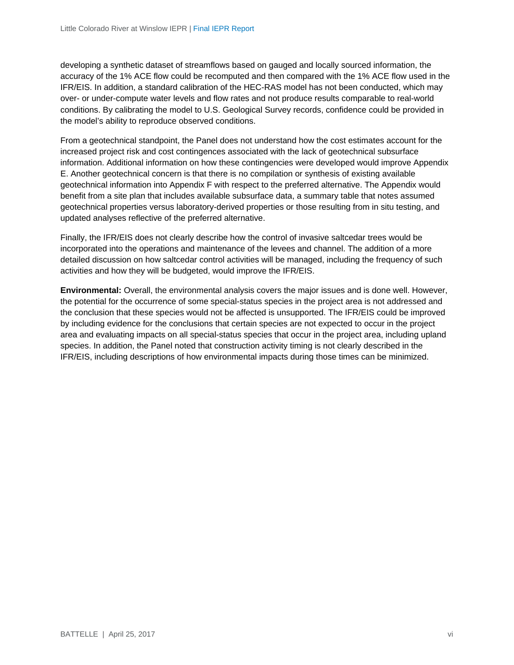developing a synthetic dataset of streamflows based on gauged and locally sourced information, the accuracy of the 1% ACE flow could be recomputed and then compared with the 1% ACE flow used in the IFR/EIS. In addition, a standard calibration of the HEC-RAS model has not been conducted, which may over- or under-compute water levels and flow rates and not produce results comparable to real-world conditions. By calibrating the model to U.S. Geological Survey records, confidence could be provided in the model's ability to reproduce observed conditions.

From a geotechnical standpoint, the Panel does not understand how the cost estimates account for the increased project risk and cost contingences associated with the lack of geotechnical subsurface information. Additional information on how these contingencies were developed would improve Appendix E. Another geotechnical concern is that there is no compilation or synthesis of existing available geotechnical information into Appendix F with respect to the preferred alternative. The Appendix would benefit from a site plan that includes available subsurface data, a summary table that notes assumed geotechnical properties versus laboratory-derived properties or those resulting from in situ testing, and updated analyses reflective of the preferred alternative.

Finally, the IFR/EIS does not clearly describe how the control of invasive saltcedar trees would be incorporated into the operations and maintenance of the levees and channel. The addition of a more detailed discussion on how saltcedar control activities will be managed, including the frequency of such activities and how they will be budgeted, would improve the IFR/EIS.

**Environmental:** Overall, the environmental analysis covers the major issues and is done well. However, the potential for the occurrence of some special-status species in the project area is not addressed and the conclusion that these species would not be affected is unsupported. The IFR/EIS could be improved by including evidence for the conclusions that certain species are not expected to occur in the project area and evaluating impacts on all special-status species that occur in the project area, including upland species. In addition, the Panel noted that construction activity timing is not clearly described in the IFR/EIS, including descriptions of how environmental impacts during those times can be minimized.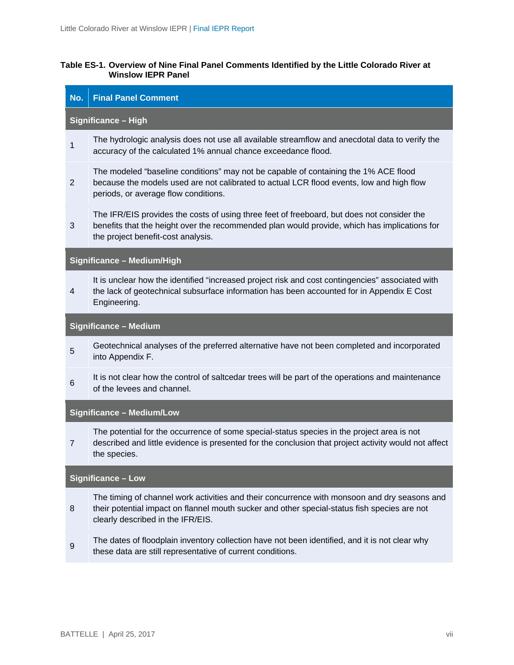#### **Table ES-1. Overview of Nine Final Panel Comments Identified by the Little Colorado River at Winslow IEPR Panel**

| No.                              | <b>Final Panel Comment</b>                                                                                                                                                                                                        |  |  |  |
|----------------------------------|-----------------------------------------------------------------------------------------------------------------------------------------------------------------------------------------------------------------------------------|--|--|--|
|                                  | Significance - High                                                                                                                                                                                                               |  |  |  |
| 1                                | The hydrologic analysis does not use all available streamflow and anecdotal data to verify the<br>accuracy of the calculated 1% annual chance exceedance flood.                                                                   |  |  |  |
| 2                                | The modeled "baseline conditions" may not be capable of containing the 1% ACE flood<br>because the models used are not calibrated to actual LCR flood events, low and high flow<br>periods, or average flow conditions.           |  |  |  |
| 3                                | The IFR/EIS provides the costs of using three feet of freeboard, but does not consider the<br>benefits that the height over the recommended plan would provide, which has implications for<br>the project benefit-cost analysis.  |  |  |  |
|                                  | Significance - Medium/High                                                                                                                                                                                                        |  |  |  |
| 4                                | It is unclear how the identified "increased project risk and cost contingencies" associated with<br>the lack of geotechnical subsurface information has been accounted for in Appendix E Cost<br>Engineering.                     |  |  |  |
| <b>Significance - Medium</b>     |                                                                                                                                                                                                                                   |  |  |  |
| 5                                | Geotechnical analyses of the preferred alternative have not been completed and incorporated<br>into Appendix F.                                                                                                                   |  |  |  |
| 6                                | It is not clear how the control of saltcedar trees will be part of the operations and maintenance<br>of the levees and channel.                                                                                                   |  |  |  |
| <b>Significance - Medium/Low</b> |                                                                                                                                                                                                                                   |  |  |  |
| 7                                | The potential for the occurrence of some special-status species in the project area is not<br>described and little evidence is presented for the conclusion that project activity would not affect<br>the species.                |  |  |  |
| <b>Significance - Low</b>        |                                                                                                                                                                                                                                   |  |  |  |
| 8                                | The timing of channel work activities and their concurrence with monsoon and dry seasons and<br>their potential impact on flannel mouth sucker and other special-status fish species are not<br>clearly described in the IFR/EIS. |  |  |  |
| 9                                | The dates of floodplain inventory collection have not been identified, and it is not clear why<br>these data are still representative of current conditions.                                                                      |  |  |  |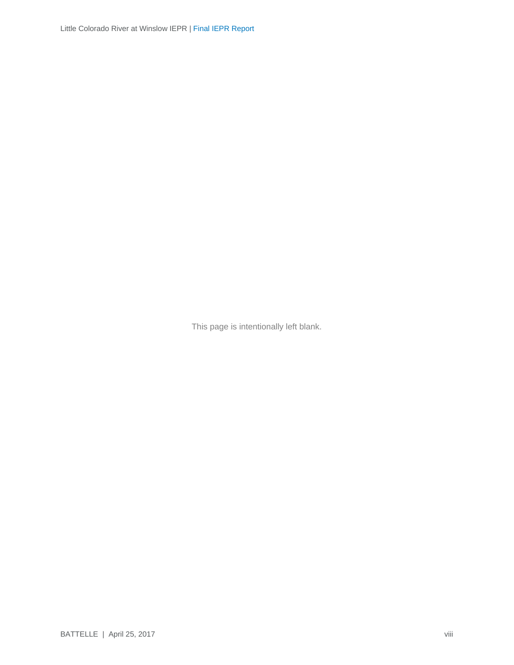This page is intentionally left blank.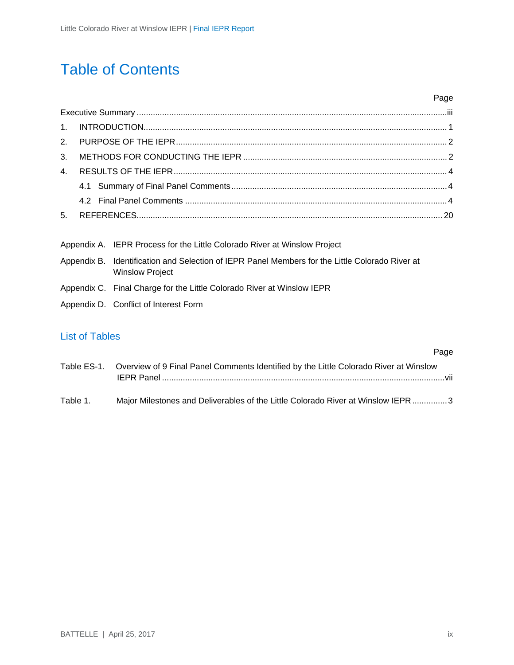# Table of Contents

# Page

| $\mathbf{1}$ . |  |                                                                                                                           |  |
|----------------|--|---------------------------------------------------------------------------------------------------------------------------|--|
| 2.             |  |                                                                                                                           |  |
| 3.             |  |                                                                                                                           |  |
| 4.             |  |                                                                                                                           |  |
|                |  |                                                                                                                           |  |
|                |  |                                                                                                                           |  |
| 5.             |  |                                                                                                                           |  |
|                |  |                                                                                                                           |  |
|                |  | Appendix A. IEPR Process for the Little Colorado River at Winslow Project                                                 |  |
|                |  | Appendix B. Identification and Selection of IEPR Panel Members for the Little Colorado River at<br><b>Winslow Project</b> |  |
|                |  | Appendix C. Final Charge for the Little Colorado River at Winslow IEPR                                                    |  |
|                |  | Appendix D. Conflict of Interest Form                                                                                     |  |
|                |  |                                                                                                                           |  |

# List of Tables

|          | Page                                                                                              |
|----------|---------------------------------------------------------------------------------------------------|
|          | Table ES-1. Overview of 9 Final Panel Comments Identified by the Little Colorado River at Winslow |
| Table 1. | Major Milestones and Deliverables of the Little Colorado River at Winslow IEPR3                   |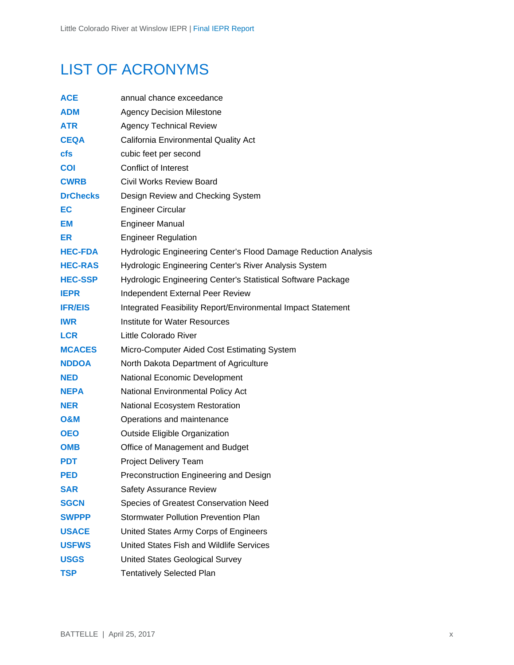# LIST OF ACRONYMS

| <b>ACE</b>      | annual chance exceedance                                        |
|-----------------|-----------------------------------------------------------------|
| <b>ADM</b>      | <b>Agency Decision Milestone</b>                                |
| <b>ATR</b>      | <b>Agency Technical Review</b>                                  |
| <b>CEQA</b>     | California Environmental Quality Act                            |
| <b>cfs</b>      | cubic feet per second                                           |
| <b>COI</b>      | <b>Conflict of Interest</b>                                     |
| <b>CWRB</b>     | <b>Civil Works Review Board</b>                                 |
| <b>DrChecks</b> | Design Review and Checking System                               |
| EC              | <b>Engineer Circular</b>                                        |
| EM              | <b>Engineer Manual</b>                                          |
| ER              | <b>Engineer Regulation</b>                                      |
| <b>HEC-FDA</b>  | Hydrologic Engineering Center's Flood Damage Reduction Analysis |
| <b>HEC-RAS</b>  | Hydrologic Engineering Center's River Analysis System           |
| <b>HEC-SSP</b>  | Hydrologic Engineering Center's Statistical Software Package    |
| <b>IEPR</b>     | Independent External Peer Review                                |
| <b>IFR/EIS</b>  | Integrated Feasibility Report/Environmental Impact Statement    |
| <b>IWR</b>      | Institute for Water Resources                                   |
| <b>LCR</b>      | Little Colorado River                                           |
| <b>MCACES</b>   | Micro-Computer Aided Cost Estimating System                     |
| <b>NDDOA</b>    | North Dakota Department of Agriculture                          |
| <b>NED</b>      | National Economic Development                                   |
| NEPA            | National Environmental Policy Act                               |
| <b>NER</b>      | National Ecosystem Restoration                                  |
| O&M             | Operations and maintenance                                      |
| <b>OEO</b>      | Outside Eligible Organization                                   |
| <b>OMB</b>      | Office of Management and Budget                                 |
| <b>PDT</b>      | Project Delivery Team                                           |
| <b>PED</b>      | Preconstruction Engineering and Design                          |
| <b>SAR</b>      | <b>Safety Assurance Review</b>                                  |
| <b>SGCN</b>     | Species of Greatest Conservation Need                           |
| <b>SWPPP</b>    | <b>Stormwater Pollution Prevention Plan</b>                     |
| <b>USACE</b>    | United States Army Corps of Engineers                           |
| <b>USFWS</b>    | United States Fish and Wildlife Services                        |
| <b>USGS</b>     | United States Geological Survey                                 |
| <b>TSP</b>      | <b>Tentatively Selected Plan</b>                                |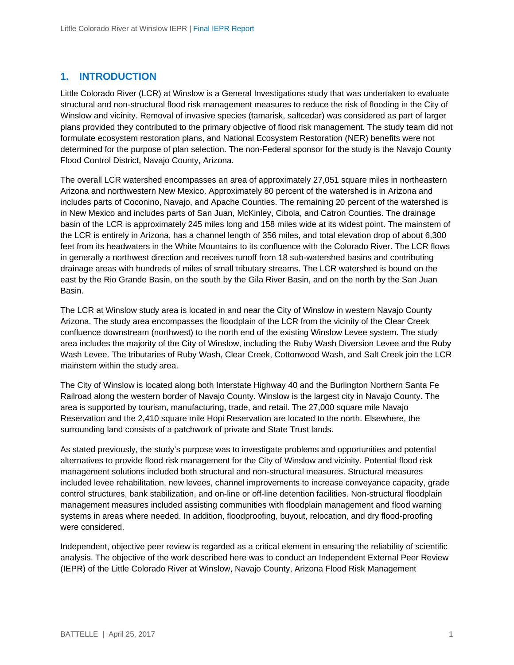# **1. INTRODUCTION**

Little Colorado River (LCR) at Winslow is a General Investigations study that was undertaken to evaluate structural and non-structural flood risk management measures to reduce the risk of flooding in the City of Winslow and vicinity. Removal of invasive species (tamarisk, saltcedar) was considered as part of larger plans provided they contributed to the primary objective of flood risk management. The study team did not formulate ecosystem restoration plans, and National Ecosystem Restoration (NER) benefits were not determined for the purpose of plan selection. The non-Federal sponsor for the study is the Navajo County Flood Control District, Navajo County, Arizona.

The overall LCR watershed encompasses an area of approximately 27,051 square miles in northeastern Arizona and northwestern New Mexico. Approximately 80 percent of the watershed is in Arizona and includes parts of Coconino, Navajo, and Apache Counties. The remaining 20 percent of the watershed is in New Mexico and includes parts of San Juan, McKinley, Cibola, and Catron Counties. The drainage basin of the LCR is approximately 245 miles long and 158 miles wide at its widest point. The mainstem of the LCR is entirely in Arizona, has a channel length of 356 miles, and total elevation drop of about 6,300 feet from its headwaters in the White Mountains to its confluence with the Colorado River. The LCR flows in generally a northwest direction and receives runoff from 18 sub-watershed basins and contributing drainage areas with hundreds of miles of small tributary streams. The LCR watershed is bound on the east by the Rio Grande Basin, on the south by the Gila River Basin, and on the north by the San Juan Basin.

The LCR at Winslow study area is located in and near the City of Winslow in western Navajo County Arizona. The study area encompasses the floodplain of the LCR from the vicinity of the Clear Creek confluence downstream (northwest) to the north end of the existing Winslow Levee system. The study area includes the majority of the City of Winslow, including the Ruby Wash Diversion Levee and the Ruby Wash Levee. The tributaries of Ruby Wash, Clear Creek, Cottonwood Wash, and Salt Creek join the LCR mainstem within the study area.

The City of Winslow is located along both Interstate Highway 40 and the Burlington Northern Santa Fe Railroad along the western border of Navajo County. Winslow is the largest city in Navajo County. The area is supported by tourism, manufacturing, trade, and retail. The 27,000 square mile Navajo Reservation and the 2,410 square mile Hopi Reservation are located to the north. Elsewhere, the surrounding land consists of a patchwork of private and State Trust lands.

As stated previously, the study's purpose was to investigate problems and opportunities and potential alternatives to provide flood risk management for the City of Winslow and vicinity. Potential flood risk management solutions included both structural and non-structural measures. Structural measures included levee rehabilitation, new levees, channel improvements to increase conveyance capacity, grade control structures, bank stabilization, and on-line or off-line detention facilities. Non-structural floodplain management measures included assisting communities with floodplain management and flood warning systems in areas where needed. In addition, floodproofing, buyout, relocation, and dry flood-proofing were considered.

Independent, objective peer review is regarded as a critical element in ensuring the reliability of scientific analysis. The objective of the work described here was to conduct an Independent External Peer Review (IEPR) of the Little Colorado River at Winslow, Navajo County, Arizona Flood Risk Management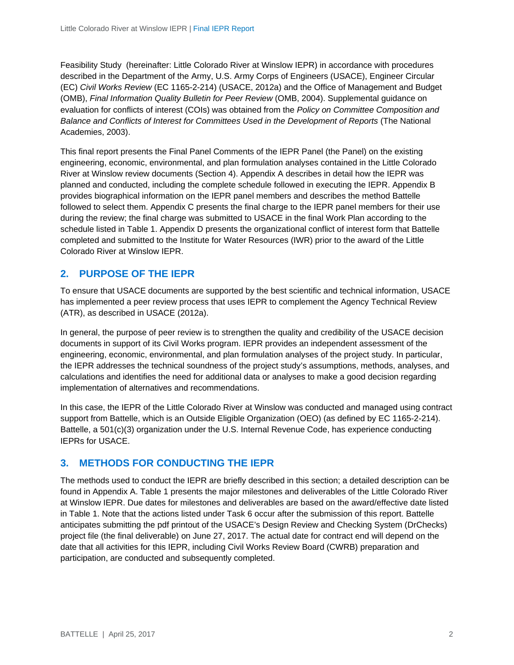Feasibility Study (hereinafter: Little Colorado River at Winslow IEPR) in accordance with procedures described in the Department of the Army, U.S. Army Corps of Engineers (USACE), Engineer Circular (EC) *Civil Works Review* (EC 1165-2-214) (USACE, 2012a) and the Office of Management and Budget (OMB), *Final Information Quality Bulletin for Peer Review* (OMB, 2004). Supplemental guidance on evaluation for conflicts of interest (COIs) was obtained from the *Policy on Committee Composition and Balance and Conflicts of Interest for Committees Used in the Development of Reports* (The National Academies, 2003).

This final report presents the Final Panel Comments of the IEPR Panel (the Panel) on the existing engineering, economic, environmental, and plan formulation analyses contained in the Little Colorado River at Winslow review documents (Section 4). Appendix A describes in detail how the IEPR was planned and conducted, including the complete schedule followed in executing the IEPR. Appendix B provides biographical information on the IEPR panel members and describes the method Battelle followed to select them. Appendix C presents the final charge to the IEPR panel members for their use during the review; the final charge was submitted to USACE in the final Work Plan according to the schedule listed in Table 1. Appendix D presents the organizational conflict of interest form that Battelle completed and submitted to the Institute for Water Resources (IWR) prior to the award of the Little Colorado River at Winslow IEPR.

# **2. PURPOSE OF THE IEPR**

To ensure that USACE documents are supported by the best scientific and technical information, USACE has implemented a peer review process that uses IEPR to complement the Agency Technical Review (ATR), as described in USACE (2012a).

In general, the purpose of peer review is to strengthen the quality and credibility of the USACE decision documents in support of its Civil Works program. IEPR provides an independent assessment of the engineering, economic, environmental, and plan formulation analyses of the project study. In particular, the IEPR addresses the technical soundness of the project study's assumptions, methods, analyses, and calculations and identifies the need for additional data or analyses to make a good decision regarding implementation of alternatives and recommendations.

In this case, the IEPR of the Little Colorado River at Winslow was conducted and managed using contract support from Battelle, which is an Outside Eligible Organization (OEO) (as defined by EC 1165-2-214). Battelle, a 501(c)(3) organization under the U.S. Internal Revenue Code, has experience conducting IEPRs for USACE.

# **3. METHODS FOR CONDUCTING THE IEPR**

The methods used to conduct the IEPR are briefly described in this section; a detailed description can be found in Appendix A. Table 1 presents the major milestones and deliverables of the Little Colorado River at Winslow IEPR. Due dates for milestones and deliverables are based on the award/effective date listed in Table 1. Note that the actions listed under Task 6 occur after the submission of this report. Battelle anticipates submitting the pdf printout of the USACE's Design Review and Checking System (DrChecks) project file (the final deliverable) on June 27, 2017. The actual date for contract end will depend on the date that all activities for this IEPR, including Civil Works Review Board (CWRB) preparation and participation, are conducted and subsequently completed.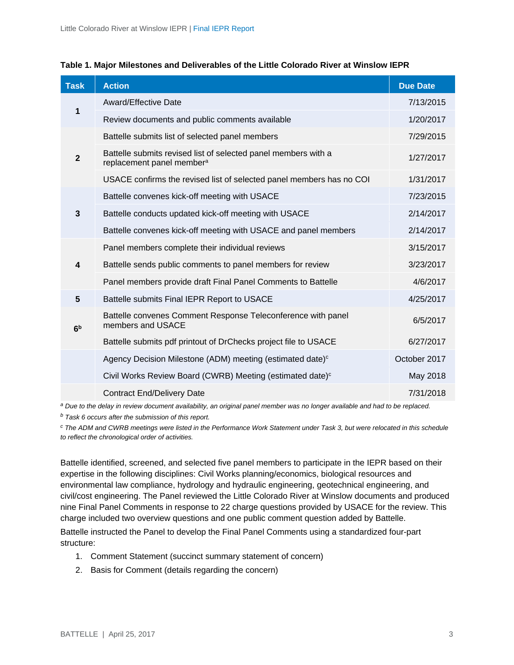| <b>Task</b>    | <b>Action</b>                                                                                           | <b>Due Date</b> |
|----------------|---------------------------------------------------------------------------------------------------------|-----------------|
|                | Award/Effective Date                                                                                    | 7/13/2015       |
| 1              | Review documents and public comments available                                                          | 1/20/2017       |
|                | Battelle submits list of selected panel members                                                         | 7/29/2015       |
| $\overline{2}$ | Battelle submits revised list of selected panel members with a<br>replacement panel member <sup>a</sup> | 1/27/2017       |
|                | USACE confirms the revised list of selected panel members has no COI                                    | 1/31/2017       |
|                | Battelle convenes kick-off meeting with USACE                                                           | 7/23/2015       |
| 3              | Battelle conducts updated kick-off meeting with USACE                                                   | 2/14/2017       |
|                | Battelle convenes kick-off meeting with USACE and panel members                                         | 2/14/2017       |
|                | Panel members complete their individual reviews                                                         | 3/15/2017       |
| 4              | Battelle sends public comments to panel members for review                                              | 3/23/2017       |
|                | Panel members provide draft Final Panel Comments to Battelle                                            | 4/6/2017        |
| 5              | Battelle submits Final IEPR Report to USACE                                                             | 4/25/2017       |
| 6 <sup>b</sup> | Battelle convenes Comment Response Teleconference with panel<br>members and USACE                       | 6/5/2017        |
|                | Battelle submits pdf printout of DrChecks project file to USACE                                         | 6/27/2017       |
|                | Agency Decision Milestone (ADM) meeting (estimated date) <sup>c</sup>                                   | October 2017    |
|                | Civil Works Review Board (CWRB) Meeting (estimated date) <sup>c</sup>                                   | May 2018        |
|                | <b>Contract End/Delivery Date</b>                                                                       | 7/31/2018       |

#### **Table 1. Major Milestones and Deliverables of the Little Colorado River at Winslow IEPR**

*a Due to the delay in review document availability, an original panel member was no longer available and had to be replaced.* 

*b Task 6 occurs after the submission of this report.* 

*c The ADM and CWRB meetings were listed in the Performance Work Statement under Task 3, but were relocated in this schedule to reflect the chronological order of activities.* 

Battelle identified, screened, and selected five panel members to participate in the IEPR based on their expertise in the following disciplines: Civil Works planning/economics, biological resources and environmental law compliance, hydrology and hydraulic engineering, geotechnical engineering, and civil/cost engineering. The Panel reviewed the Little Colorado River at Winslow documents and produced nine Final Panel Comments in response to 22 charge questions provided by USACE for the review. This charge included two overview questions and one public comment question added by Battelle.

Battelle instructed the Panel to develop the Final Panel Comments using a standardized four-part structure:

- 1. Comment Statement (succinct summary statement of concern)
- 2. Basis for Comment (details regarding the concern)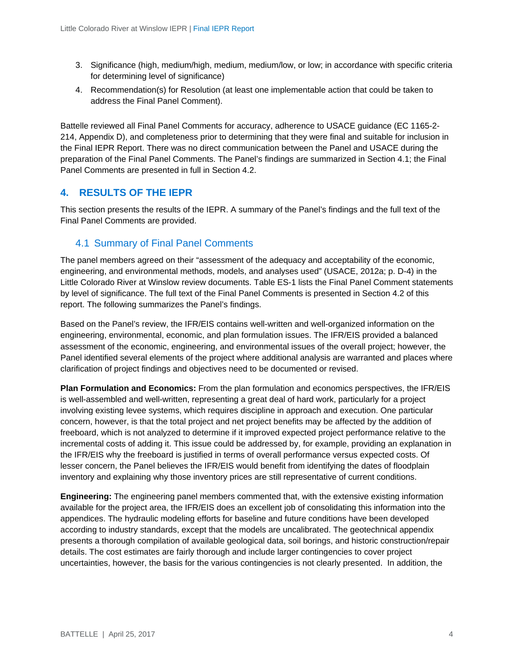- 3. Significance (high, medium/high, medium, medium/low, or low; in accordance with specific criteria for determining level of significance)
- 4. Recommendation(s) for Resolution (at least one implementable action that could be taken to address the Final Panel Comment).

Battelle reviewed all Final Panel Comments for accuracy, adherence to USACE guidance (EC 1165-2- 214, Appendix D), and completeness prior to determining that they were final and suitable for inclusion in the Final IEPR Report. There was no direct communication between the Panel and USACE during the preparation of the Final Panel Comments. The Panel's findings are summarized in Section 4.1; the Final Panel Comments are presented in full in Section 4.2.

# **4. RESULTS OF THE IEPR**

This section presents the results of the IEPR. A summary of the Panel's findings and the full text of the Final Panel Comments are provided.

# 4.1 Summary of Final Panel Comments

The panel members agreed on their "assessment of the adequacy and acceptability of the economic, engineering, and environmental methods, models, and analyses used" (USACE, 2012a; p. D-4) in the Little Colorado River at Winslow review documents. Table ES-1 lists the Final Panel Comment statements by level of significance. The full text of the Final Panel Comments is presented in Section 4.2 of this report. The following summarizes the Panel's findings.

Based on the Panel's review, the IFR/EIS contains well-written and well-organized information on the engineering, environmental, economic, and plan formulation issues. The IFR/EIS provided a balanced assessment of the economic, engineering, and environmental issues of the overall project; however, the Panel identified several elements of the project where additional analysis are warranted and places where clarification of project findings and objectives need to be documented or revised.

**Plan Formulation and Economics:** From the plan formulation and economics perspectives, the IFR/EIS is well-assembled and well-written, representing a great deal of hard work, particularly for a project involving existing levee systems, which requires discipline in approach and execution. One particular concern, however, is that the total project and net project benefits may be affected by the addition of freeboard, which is not analyzed to determine if it improved expected project performance relative to the incremental costs of adding it. This issue could be addressed by, for example, providing an explanation in the IFR/EIS why the freeboard is justified in terms of overall performance versus expected costs. Of lesser concern, the Panel believes the IFR/EIS would benefit from identifying the dates of floodplain inventory and explaining why those inventory prices are still representative of current conditions.

**Engineering:** The engineering panel members commented that, with the extensive existing information available for the project area, the IFR/EIS does an excellent job of consolidating this information into the appendices. The hydraulic modeling efforts for baseline and future conditions have been developed according to industry standards, except that the models are uncalibrated. The geotechnical appendix presents a thorough compilation of available geological data, soil borings, and historic construction/repair details. The cost estimates are fairly thorough and include larger contingencies to cover project uncertainties, however, the basis for the various contingencies is not clearly presented. In addition, the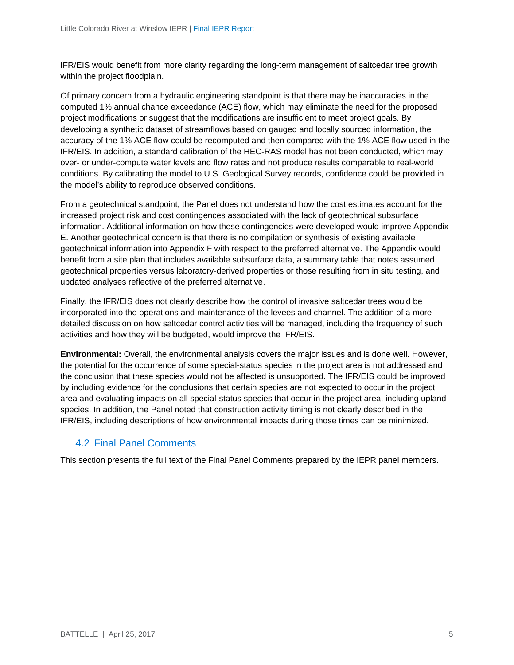IFR/EIS would benefit from more clarity regarding the long-term management of saltcedar tree growth within the project floodplain.

Of primary concern from a hydraulic engineering standpoint is that there may be inaccuracies in the computed 1% annual chance exceedance (ACE) flow, which may eliminate the need for the proposed project modifications or suggest that the modifications are insufficient to meet project goals. By developing a synthetic dataset of streamflows based on gauged and locally sourced information, the accuracy of the 1% ACE flow could be recomputed and then compared with the 1% ACE flow used in the IFR/EIS. In addition, a standard calibration of the HEC-RAS model has not been conducted, which may over- or under-compute water levels and flow rates and not produce results comparable to real-world conditions. By calibrating the model to U.S. Geological Survey records, confidence could be provided in the model's ability to reproduce observed conditions.

From a geotechnical standpoint, the Panel does not understand how the cost estimates account for the increased project risk and cost contingences associated with the lack of geotechnical subsurface information. Additional information on how these contingencies were developed would improve Appendix E. Another geotechnical concern is that there is no compilation or synthesis of existing available geotechnical information into Appendix F with respect to the preferred alternative. The Appendix would benefit from a site plan that includes available subsurface data, a summary table that notes assumed geotechnical properties versus laboratory-derived properties or those resulting from in situ testing, and updated analyses reflective of the preferred alternative.

Finally, the IFR/EIS does not clearly describe how the control of invasive saltcedar trees would be incorporated into the operations and maintenance of the levees and channel. The addition of a more detailed discussion on how saltcedar control activities will be managed, including the frequency of such activities and how they will be budgeted, would improve the IFR/EIS.

**Environmental:** Overall, the environmental analysis covers the major issues and is done well. However, the potential for the occurrence of some special-status species in the project area is not addressed and the conclusion that these species would not be affected is unsupported. The IFR/EIS could be improved by including evidence for the conclusions that certain species are not expected to occur in the project area and evaluating impacts on all special-status species that occur in the project area, including upland species. In addition, the Panel noted that construction activity timing is not clearly described in the IFR/EIS, including descriptions of how environmental impacts during those times can be minimized.

# 4.2 Final Panel Comments

This section presents the full text of the Final Panel Comments prepared by the IEPR panel members.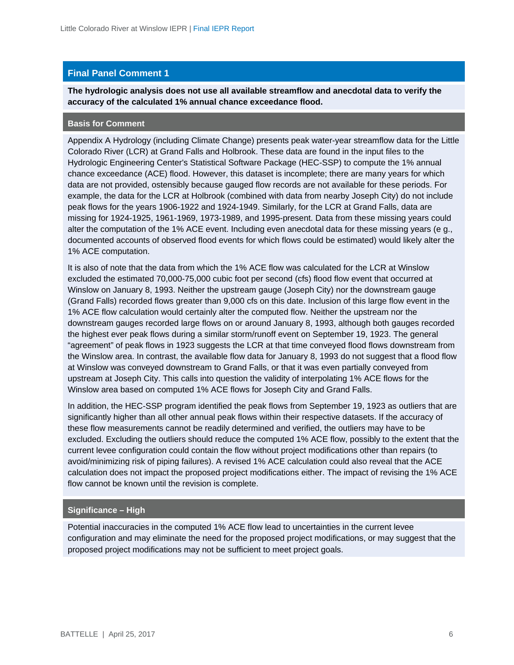#### **Final Panel Comment 1**

**The hydrologic analysis does not use all available streamflow and anecdotal data to verify the accuracy of the calculated 1% annual chance exceedance flood.** 

#### **Basis for Comment**

Appendix A Hydrology (including Climate Change) presents peak water-year streamflow data for the Little Colorado River (LCR) at Grand Falls and Holbrook. These data are found in the input files to the Hydrologic Engineering Center's Statistical Software Package (HEC-SSP) to compute the 1% annual chance exceedance (ACE) flood. However, this dataset is incomplete; there are many years for which data are not provided, ostensibly because gauged flow records are not available for these periods. For example, the data for the LCR at Holbrook (combined with data from nearby Joseph City) do not include peak flows for the years 1906-1922 and 1924-1949. Similarly, for the LCR at Grand Falls, data are missing for 1924-1925, 1961-1969, 1973-1989, and 1995-present. Data from these missing years could alter the computation of the 1% ACE event. Including even anecdotal data for these missing years (e g., documented accounts of observed flood events for which flows could be estimated) would likely alter the 1% ACE computation.

It is also of note that the data from which the 1% ACE flow was calculated for the LCR at Winslow excluded the estimated 70,000-75,000 cubic foot per second (cfs) flood flow event that occurred at Winslow on January 8, 1993. Neither the upstream gauge (Joseph City) nor the downstream gauge (Grand Falls) recorded flows greater than 9,000 cfs on this date. Inclusion of this large flow event in the 1% ACE flow calculation would certainly alter the computed flow. Neither the upstream nor the downstream gauges recorded large flows on or around January 8, 1993, although both gauges recorded the highest ever peak flows during a similar storm/runoff event on September 19, 1923. The general "agreement" of peak flows in 1923 suggests the LCR at that time conveyed flood flows downstream from the Winslow area. In contrast, the available flow data for January 8, 1993 do not suggest that a flood flow at Winslow was conveyed downstream to Grand Falls, or that it was even partially conveyed from upstream at Joseph City. This calls into question the validity of interpolating 1% ACE flows for the Winslow area based on computed 1% ACE flows for Joseph City and Grand Falls.

In addition, the HEC-SSP program identified the peak flows from September 19, 1923 as outliers that are significantly higher than all other annual peak flows within their respective datasets. If the accuracy of these flow measurements cannot be readily determined and verified, the outliers may have to be excluded. Excluding the outliers should reduce the computed 1% ACE flow, possibly to the extent that the current levee configuration could contain the flow without project modifications other than repairs (to avoid/minimizing risk of piping failures). A revised 1% ACE calculation could also reveal that the ACE calculation does not impact the proposed project modifications either. The impact of revising the 1% ACE flow cannot be known until the revision is complete.

#### **Significance – High**

Potential inaccuracies in the computed 1% ACE flow lead to uncertainties in the current levee configuration and may eliminate the need for the proposed project modifications, or may suggest that the proposed project modifications may not be sufficient to meet project goals.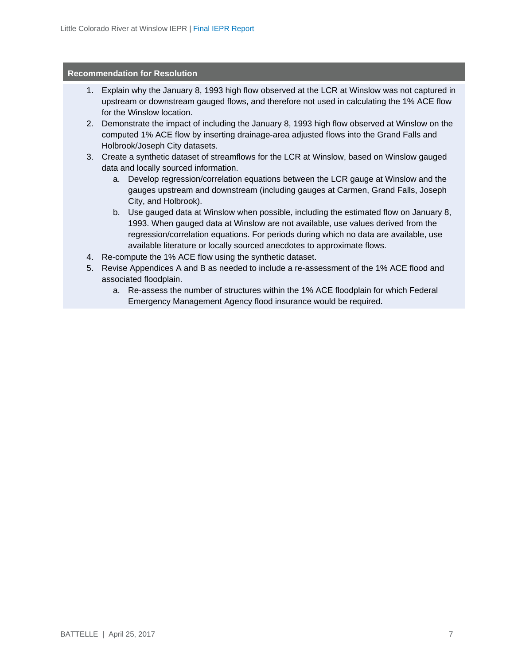#### **Recommendation for Resolution**

- 1. Explain why the January 8, 1993 high flow observed at the LCR at Winslow was not captured in upstream or downstream gauged flows, and therefore not used in calculating the 1% ACE flow for the Winslow location.
- 2. Demonstrate the impact of including the January 8, 1993 high flow observed at Winslow on the computed 1% ACE flow by inserting drainage-area adjusted flows into the Grand Falls and Holbrook/Joseph City datasets.
- 3. Create a synthetic dataset of streamflows for the LCR at Winslow, based on Winslow gauged data and locally sourced information.
	- a. Develop regression/correlation equations between the LCR gauge at Winslow and the gauges upstream and downstream (including gauges at Carmen, Grand Falls, Joseph City, and Holbrook).
	- b. Use gauged data at Winslow when possible, including the estimated flow on January 8, 1993. When gauged data at Winslow are not available, use values derived from the regression/correlation equations. For periods during which no data are available, use available literature or locally sourced anecdotes to approximate flows.
- 4. Re-compute the 1% ACE flow using the synthetic dataset.
- 5. Revise Appendices A and B as needed to include a re-assessment of the 1% ACE flood and associated floodplain.
	- a. Re-assess the number of structures within the 1% ACE floodplain for which Federal Emergency Management Agency flood insurance would be required.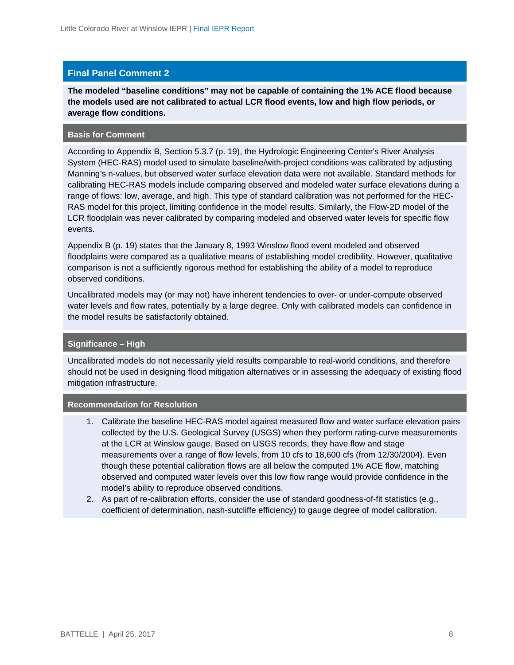#### **Final Panel Comment 2**

**The modeled "baseline conditions" may not be capable of containing the 1% ACE flood because the models used are not calibrated to actual LCR flood events, low and high flow periods, or average flow conditions.** 

#### **Basis for Comment**

According to Appendix B, Section 5.3.7 (p. 19), the Hydrologic Engineering Center's River Analysis System (HEC-RAS) model used to simulate baseline/with-project conditions was calibrated by adjusting Manning's n-values, but observed water surface elevation data were not available. Standard methods for calibrating HEC-RAS models include comparing observed and modeled water surface elevations during a range of flows: low, average, and high. This type of standard calibration was not performed for the HEC-RAS model for this project, limiting confidence in the model results. Similarly, the Flow-2D model of the LCR floodplain was never calibrated by comparing modeled and observed water levels for specific flow events.

Appendix B (p. 19) states that the January 8, 1993 Winslow flood event modeled and observed floodplains were compared as a qualitative means of establishing model credibility. However, qualitative comparison is not a sufficiently rigorous method for establishing the ability of a model to reproduce observed conditions.

Uncalibrated models may (or may not) have inherent tendencies to over- or under-compute observed water levels and flow rates, potentially by a large degree. Only with calibrated models can confidence in the model results be satisfactorily obtained.

#### **Significance – High**

Uncalibrated models do not necessarily yield results comparable to real-world conditions, and therefore should not be used in designing flood mitigation alternatives or in assessing the adequacy of existing flood mitigation infrastructure.

#### **Recommendation for Resolution**

- 1. Calibrate the baseline HEC-RAS model against measured flow and water surface elevation pairs collected by the U.S. Geological Survey (USGS) when they perform rating-curve measurements at the LCR at Winslow gauge. Based on USGS records, they have flow and stage measurements over a range of flow levels, from 10 cfs to 18,600 cfs (from 12/30/2004). Even though these potential calibration flows are all below the computed 1% ACE flow, matching observed and computed water levels over this low flow range would provide confidence in the model's ability to reproduce observed conditions.
- 2. As part of re-calibration efforts, consider the use of standard goodness-of-fit statistics (e.g., coefficient of determination, nash-sutcliffe efficiency) to gauge degree of model calibration.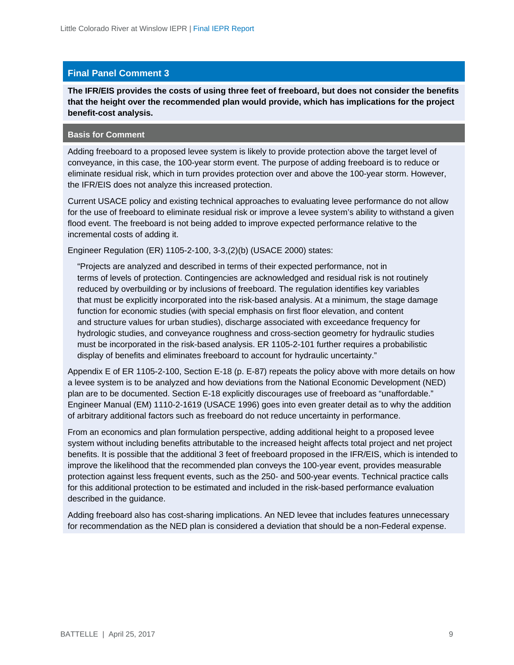#### **Final Panel Comment 3**

**The IFR/EIS provides the costs of using three feet of freeboard, but does not consider the benefits that the height over the recommended plan would provide, which has implications for the project benefit-cost analysis.** 

#### **Basis for Comment**

Adding freeboard to a proposed levee system is likely to provide protection above the target level of conveyance, in this case, the 100-year storm event. The purpose of adding freeboard is to reduce or eliminate residual risk, which in turn provides protection over and above the 100-year storm. However, the IFR/EIS does not analyze this increased protection.

Current USACE policy and existing technical approaches to evaluating levee performance do not allow for the use of freeboard to eliminate residual risk or improve a levee system's ability to withstand a given flood event. The freeboard is not being added to improve expected performance relative to the incremental costs of adding it.

Engineer Regulation (ER) 1105-2-100, 3-3,(2)(b) (USACE 2000) states:

"Projects are analyzed and described in terms of their expected performance, not in terms of levels of protection. Contingencies are acknowledged and residual risk is not routinely reduced by overbuilding or by inclusions of freeboard. The regulation identifies key variables that must be explicitly incorporated into the risk-based analysis. At a minimum, the stage damage function for economic studies (with special emphasis on first floor elevation, and content and structure values for urban studies), discharge associated with exceedance frequency for hydrologic studies, and conveyance roughness and cross-section geometry for hydraulic studies must be incorporated in the risk-based analysis. ER 1105-2-101 further requires a probabilistic display of benefits and eliminates freeboard to account for hydraulic uncertainty."

Appendix E of ER 1105-2-100, Section E-18 (p. E-87) repeats the policy above with more details on how a levee system is to be analyzed and how deviations from the National Economic Development (NED) plan are to be documented. Section E-18 explicitly discourages use of freeboard as "unaffordable." Engineer Manual (EM) 1110-2-1619 (USACE 1996) goes into even greater detail as to why the addition of arbitrary additional factors such as freeboard do not reduce uncertainty in performance.

From an economics and plan formulation perspective, adding additional height to a proposed levee system without including benefits attributable to the increased height affects total project and net project benefits. It is possible that the additional 3 feet of freeboard proposed in the IFR/EIS, which is intended to improve the likelihood that the recommended plan conveys the 100-year event, provides measurable protection against less frequent events, such as the 250- and 500-year events. Technical practice calls for this additional protection to be estimated and included in the risk-based performance evaluation described in the guidance.

Adding freeboard also has cost-sharing implications. An NED levee that includes features unnecessary for recommendation as the NED plan is considered a deviation that should be a non-Federal expense.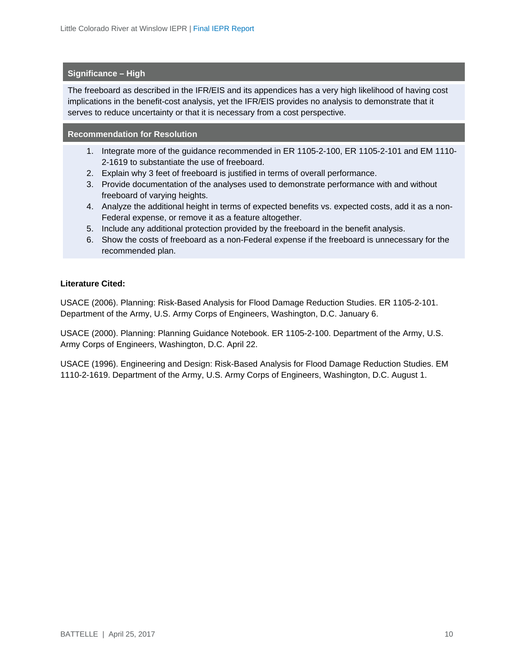#### **Significance – High**

The freeboard as described in the IFR/EIS and its appendices has a very high likelihood of having cost implications in the benefit-cost analysis, yet the IFR/EIS provides no analysis to demonstrate that it serves to reduce uncertainty or that it is necessary from a cost perspective.

#### **Recommendation for Resolution**

- 1. Integrate more of the guidance recommended in ER 1105-2-100, ER 1105-2-101 and EM 1110- 2-1619 to substantiate the use of freeboard.
- 2. Explain why 3 feet of freeboard is justified in terms of overall performance.
- 3. Provide documentation of the analyses used to demonstrate performance with and without freeboard of varying heights.
- 4. Analyze the additional height in terms of expected benefits vs. expected costs, add it as a non-Federal expense, or remove it as a feature altogether.
- 5. Include any additional protection provided by the freeboard in the benefit analysis.
- 6. Show the costs of freeboard as a non-Federal expense if the freeboard is unnecessary for the recommended plan.

#### **Literature Cited:**

USACE (2006). Planning: Risk-Based Analysis for Flood Damage Reduction Studies. ER 1105-2-101. Department of the Army, U.S. Army Corps of Engineers, Washington, D.C. January 6.

USACE (2000). Planning: Planning Guidance Notebook. ER 1105-2-100. Department of the Army, U.S. Army Corps of Engineers, Washington, D.C. April 22.

USACE (1996). Engineering and Design: Risk-Based Analysis for Flood Damage Reduction Studies. EM 1110-2-1619. Department of the Army, U.S. Army Corps of Engineers, Washington, D.C. August 1.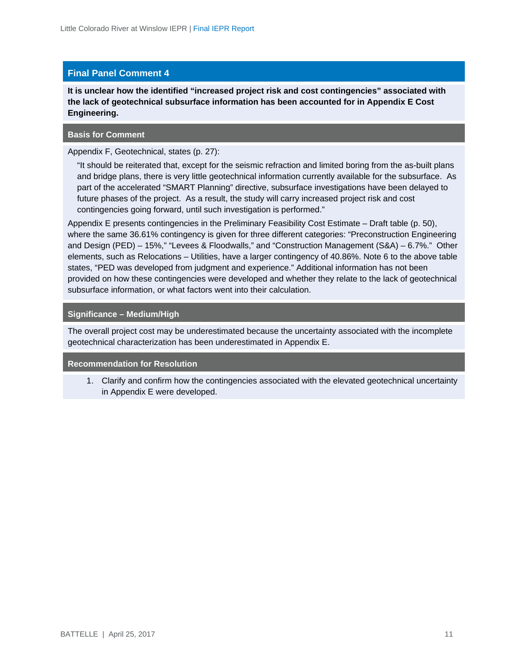#### **Final Panel Comment 4**

**It is unclear how the identified "increased project risk and cost contingencies" associated with the lack of geotechnical subsurface information has been accounted for in Appendix E Cost Engineering.** 

#### **Basis for Comment**

Appendix F, Geotechnical, states (p. 27):

"It should be reiterated that, except for the seismic refraction and limited boring from the as-built plans and bridge plans, there is very little geotechnical information currently available for the subsurface. As part of the accelerated "SMART Planning" directive, subsurface investigations have been delayed to future phases of the project. As a result, the study will carry increased project risk and cost contingencies going forward, until such investigation is performed."

Appendix E presents contingencies in the Preliminary Feasibility Cost Estimate – Draft table (p. 50), where the same 36.61% contingency is given for three different categories: "Preconstruction Engineering and Design (PED) – 15%," "Levees & Floodwalls," and "Construction Management (S&A) – 6.7%." Other elements, such as Relocations – Utilities, have a larger contingency of 40.86%. Note 6 to the above table states, "PED was developed from judgment and experience." Additional information has not been provided on how these contingencies were developed and whether they relate to the lack of geotechnical subsurface information, or what factors went into their calculation.

#### **Significance – Medium/High**

The overall project cost may be underestimated because the uncertainty associated with the incomplete geotechnical characterization has been underestimated in Appendix E.

#### **Recommendation for Resolution**

1. Clarify and confirm how the contingencies associated with the elevated geotechnical uncertainty in Appendix E were developed.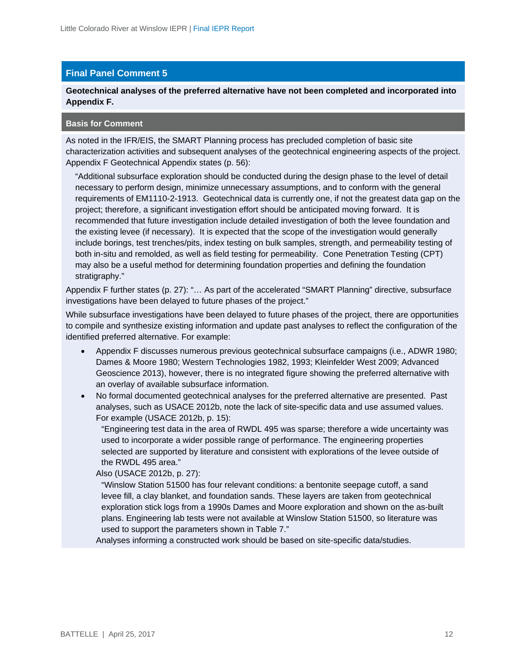#### **Final Panel Comment 5**

**Geotechnical analyses of the preferred alternative have not been completed and incorporated into Appendix F.** 

#### **Basis for Comment**

As noted in the IFR/EIS, the SMART Planning process has precluded completion of basic site characterization activities and subsequent analyses of the geotechnical engineering aspects of the project. Appendix F Geotechnical Appendix states (p. 56):

"Additional subsurface exploration should be conducted during the design phase to the level of detail necessary to perform design, minimize unnecessary assumptions, and to conform with the general requirements of EM1110-2-1913. Geotechnical data is currently one, if not the greatest data gap on the project; therefore, a significant investigation effort should be anticipated moving forward. It is recommended that future investigation include detailed investigation of both the levee foundation and the existing levee (if necessary). It is expected that the scope of the investigation would generally include borings, test trenches/pits, index testing on bulk samples, strength, and permeability testing of both in-situ and remolded, as well as field testing for permeability. Cone Penetration Testing (CPT) may also be a useful method for determining foundation properties and defining the foundation stratigraphy."

Appendix F further states (p. 27): "… As part of the accelerated "SMART Planning" directive, subsurface investigations have been delayed to future phases of the project."

While subsurface investigations have been delayed to future phases of the project, there are opportunities to compile and synthesize existing information and update past analyses to reflect the configuration of the identified preferred alternative. For example:

- Appendix F discusses numerous previous geotechnical subsurface campaigns (i.e., ADWR 1980; Dames & Moore 1980; Western Technologies 1982, 1993; Kleinfelder West 2009; Advanced Geoscience 2013), however, there is no integrated figure showing the preferred alternative with an overlay of available subsurface information.
- No formal documented geotechnical analyses for the preferred alternative are presented. Past analyses, such as USACE 2012b, note the lack of site-specific data and use assumed values. For example (USACE 2012b, p. 15):

"Engineering test data in the area of RWDL 495 was sparse; therefore a wide uncertainty was used to incorporate a wider possible range of performance. The engineering properties selected are supported by literature and consistent with explorations of the levee outside of the RWDL 495 area."

Also (USACE 2012b, p. 27):

"Winslow Station 51500 has four relevant conditions: a bentonite seepage cutoff, a sand levee fill, a clay blanket, and foundation sands. These layers are taken from geotechnical exploration stick logs from a 1990s Dames and Moore exploration and shown on the as-built plans. Engineering lab tests were not available at Winslow Station 51500, so literature was used to support the parameters shown in Table 7."

Analyses informing a constructed work should be based on site-specific data/studies.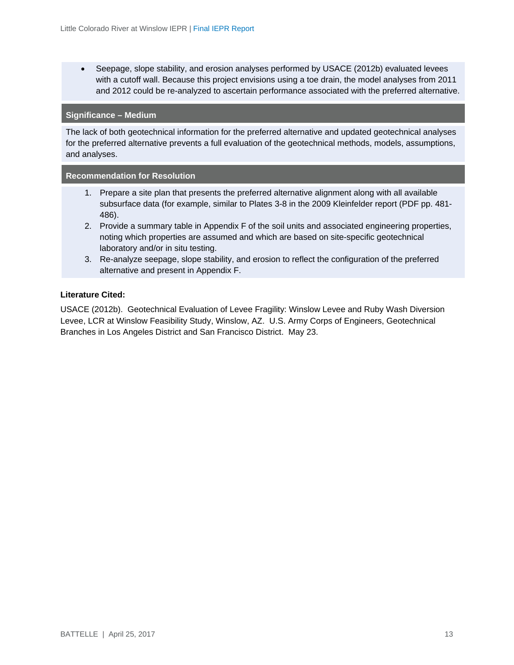Seepage, slope stability, and erosion analyses performed by USACE (2012b) evaluated levees with a cutoff wall. Because this project envisions using a toe drain, the model analyses from 2011 and 2012 could be re-analyzed to ascertain performance associated with the preferred alternative.

#### **Significance – Medium**

The lack of both geotechnical information for the preferred alternative and updated geotechnical analyses for the preferred alternative prevents a full evaluation of the geotechnical methods, models, assumptions, and analyses.

#### **Recommendation for Resolution**

- 1. Prepare a site plan that presents the preferred alternative alignment along with all available subsurface data (for example, similar to Plates 3-8 in the 2009 Kleinfelder report (PDF pp. 481- 486).
- 2. Provide a summary table in Appendix F of the soil units and associated engineering properties, noting which properties are assumed and which are based on site-specific geotechnical laboratory and/or in situ testing.
- 3. Re-analyze seepage, slope stability, and erosion to reflect the configuration of the preferred alternative and present in Appendix F.

#### **Literature Cited:**

USACE (2012b). Geotechnical Evaluation of Levee Fragility: Winslow Levee and Ruby Wash Diversion Levee, LCR at Winslow Feasibility Study, Winslow, AZ. U.S. Army Corps of Engineers, Geotechnical Branches in Los Angeles District and San Francisco District. May 23.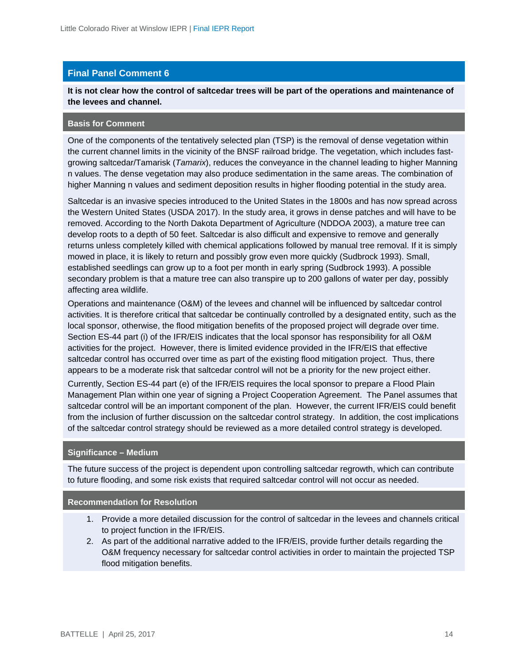#### **Final Panel Comment 6**

**It is not clear how the control of saltcedar trees will be part of the operations and maintenance of the levees and channel.** 

#### **Basis for Comment**

One of the components of the tentatively selected plan (TSP) is the removal of dense vegetation within the current channel limits in the vicinity of the BNSF railroad bridge. The vegetation, which includes fastgrowing saltcedar/Tamarisk (*Tamarix*), reduces the conveyance in the channel leading to higher Manning n values. The dense vegetation may also produce sedimentation in the same areas. The combination of higher Manning n values and sediment deposition results in higher flooding potential in the study area.

Saltcedar is an invasive species introduced to the United States in the 1800s and has now spread across the Western United States (USDA 2017). In the study area, it grows in dense patches and will have to be removed. According to the North Dakota Department of Agriculture (NDDOA 2003), a mature tree can develop roots to a depth of 50 feet. Saltcedar is also difficult and expensive to remove and generally returns unless completely killed with chemical applications followed by manual tree removal. If it is simply mowed in place, it is likely to return and possibly grow even more quickly (Sudbrock 1993). Small, established seedlings can grow up to a foot per month in early spring (Sudbrock 1993). A possible secondary problem is that a mature tree can also transpire up to 200 gallons of water per day, possibly affecting area wildlife.

Operations and maintenance (O&M) of the levees and channel will be influenced by saltcedar control activities. It is therefore critical that saltcedar be continually controlled by a designated entity, such as the local sponsor, otherwise, the flood mitigation benefits of the proposed project will degrade over time. Section ES-44 part (i) of the IFR/EIS indicates that the local sponsor has responsibility for all O&M activities for the project. However, there is limited evidence provided in the IFR/EIS that effective saltcedar control has occurred over time as part of the existing flood mitigation project. Thus, there appears to be a moderate risk that saltcedar control will not be a priority for the new project either.

Currently, Section ES-44 part (e) of the IFR/EIS requires the local sponsor to prepare a Flood Plain Management Plan within one year of signing a Project Cooperation Agreement. The Panel assumes that saltcedar control will be an important component of the plan. However, the current IFR/EIS could benefit from the inclusion of further discussion on the saltcedar control strategy. In addition, the cost implications of the saltcedar control strategy should be reviewed as a more detailed control strategy is developed.

#### **Significance – Medium**

The future success of the project is dependent upon controlling saltcedar regrowth, which can contribute to future flooding, and some risk exists that required saltcedar control will not occur as needed.

#### **Recommendation for Resolution**

- 1. Provide a more detailed discussion for the control of saltcedar in the levees and channels critical to project function in the IFR/EIS.
- 2. As part of the additional narrative added to the IFR/EIS, provide further details regarding the O&M frequency necessary for saltcedar control activities in order to maintain the projected TSP flood mitigation benefits.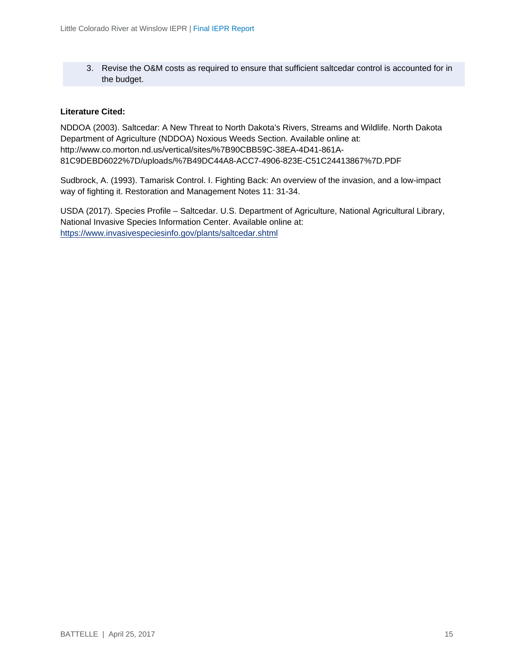3. Revise the O&M costs as required to ensure that sufficient saltcedar control is accounted for in the budget.

#### **Literature Cited:**

NDDOA (2003). Saltcedar: A New Threat to North Dakota's Rivers, Streams and Wildlife. North Dakota Department of Agriculture (NDDOA) Noxious Weeds Section. Available online at: http://www.co.morton.nd.us/vertical/sites/%7B90CBB59C-38EA-4D41-861A-81C9DEBD6022%7D/uploads/%7B49DC44A8-ACC7-4906-823E-C51C24413867%7D.PDF

Sudbrock, A. (1993). Tamarisk Control. I. Fighting Back: An overview of the invasion, and a low-impact way of fighting it. Restoration and Management Notes 11: 31-34.

USDA (2017). Species Profile – Saltcedar. U.S. Department of Agriculture, National Agricultural Library, National Invasive Species Information Center. Available online at: https://www.invasivespeciesinfo.gov/plants/saltcedar.shtml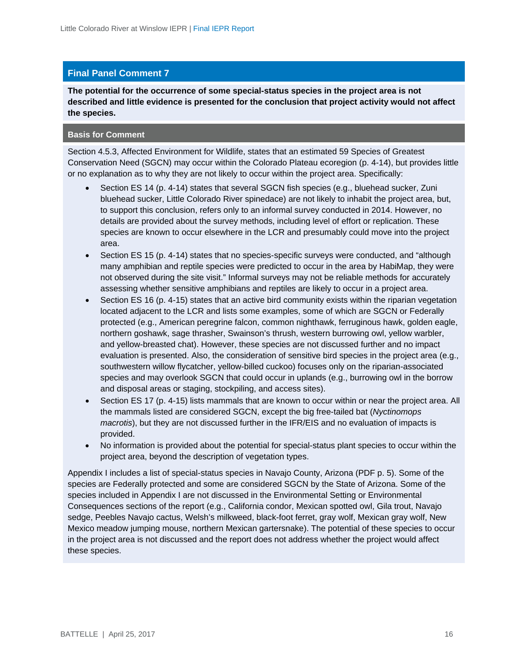#### **Final Panel Comment 7**

**The potential for the occurrence of some special-status species in the project area is not described and little evidence is presented for the conclusion that project activity would not affect the species.** 

#### **Basis for Comment**

Section 4.5.3, Affected Environment for Wildlife, states that an estimated 59 Species of Greatest Conservation Need (SGCN) may occur within the Colorado Plateau ecoregion (p. 4-14), but provides little or no explanation as to why they are not likely to occur within the project area. Specifically:

- Section ES 14 (p. 4-14) states that several SGCN fish species (e.g., bluehead sucker, Zuni bluehead sucker, Little Colorado River spinedace) are not likely to inhabit the project area, but, to support this conclusion, refers only to an informal survey conducted in 2014. However, no details are provided about the survey methods, including level of effort or replication. These species are known to occur elsewhere in the LCR and presumably could move into the project area.
- Section ES 15 (p. 4-14) states that no species-specific surveys were conducted, and "although many amphibian and reptile species were predicted to occur in the area by HabiMap, they were not observed during the site visit." Informal surveys may not be reliable methods for accurately assessing whether sensitive amphibians and reptiles are likely to occur in a project area.
- Section ES 16 (p. 4-15) states that an active bird community exists within the riparian vegetation located adjacent to the LCR and lists some examples, some of which are SGCN or Federally protected (e.g., American peregrine falcon, common nighthawk, ferruginous hawk, golden eagle, northern goshawk, sage thrasher, Swainson's thrush, western burrowing owl, yellow warbler, and yellow-breasted chat). However, these species are not discussed further and no impact evaluation is presented. Also, the consideration of sensitive bird species in the project area (e.g., southwestern willow flycatcher, yellow-billed cuckoo) focuses only on the riparian-associated species and may overlook SGCN that could occur in uplands (e.g., burrowing owl in the borrow and disposal areas or staging, stockpiling, and access sites).
- Section ES 17 (p. 4-15) lists mammals that are known to occur within or near the project area. All the mammals listed are considered SGCN, except the big free-tailed bat (*Nyctinomops macrotis*), but they are not discussed further in the IFR/EIS and no evaluation of impacts is provided.
- No information is provided about the potential for special-status plant species to occur within the project area, beyond the description of vegetation types.

Appendix I includes a list of special-status species in Navajo County, Arizona (PDF p. 5). Some of the species are Federally protected and some are considered SGCN by the State of Arizona. Some of the species included in Appendix I are not discussed in the Environmental Setting or Environmental Consequences sections of the report (e.g., California condor, Mexican spotted owl, Gila trout, Navajo sedge, Peebles Navajo cactus, Welsh's milkweed, black-foot ferret, gray wolf, Mexican gray wolf, New Mexico meadow jumping mouse, northern Mexican gartersnake). The potential of these species to occur in the project area is not discussed and the report does not address whether the project would affect these species.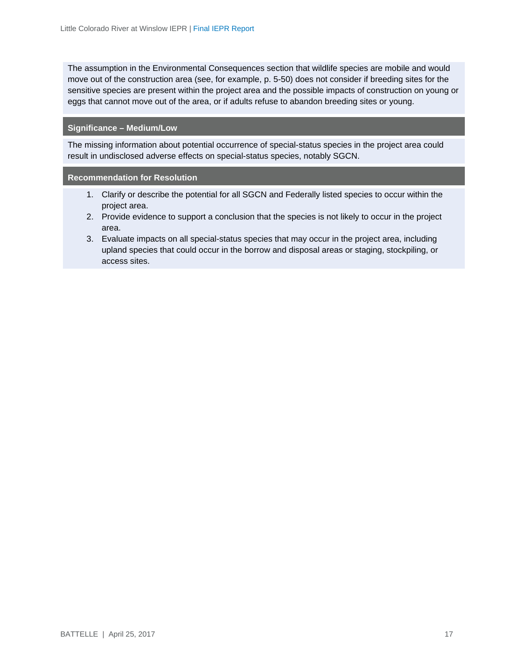The assumption in the Environmental Consequences section that wildlife species are mobile and would move out of the construction area (see, for example, p. 5-50) does not consider if breeding sites for the sensitive species are present within the project area and the possible impacts of construction on young or eggs that cannot move out of the area, or if adults refuse to abandon breeding sites or young.

# **Significance – Medium/Low**

The missing information about potential occurrence of special-status species in the project area could result in undisclosed adverse effects on special-status species, notably SGCN.

#### **Recommendation for Resolution**

- 1. Clarify or describe the potential for all SGCN and Federally listed species to occur within the project area.
- 2. Provide evidence to support a conclusion that the species is not likely to occur in the project area.
- 3. Evaluate impacts on all special-status species that may occur in the project area, including upland species that could occur in the borrow and disposal areas or staging, stockpiling, or access sites.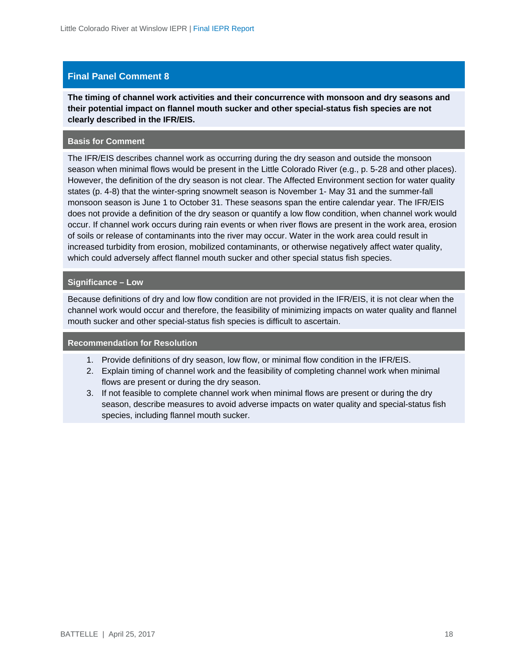# **Final Panel Comment 8**

**The timing of channel work activities and their concurrence with monsoon and dry seasons and their potential impact on flannel mouth sucker and other special-status fish species are not clearly described in the IFR/EIS.** 

#### **Basis for Comment**

The IFR/EIS describes channel work as occurring during the dry season and outside the monsoon season when minimal flows would be present in the Little Colorado River (e.g., p. 5-28 and other places). However, the definition of the dry season is not clear. The Affected Environment section for water quality states (p. 4-8) that the winter-spring snowmelt season is November 1- May 31 and the summer-fall monsoon season is June 1 to October 31. These seasons span the entire calendar year. The IFR/EIS does not provide a definition of the dry season or quantify a low flow condition, when channel work would occur. If channel work occurs during rain events or when river flows are present in the work area, erosion of soils or release of contaminants into the river may occur. Water in the work area could result in increased turbidity from erosion, mobilized contaminants, or otherwise negatively affect water quality, which could adversely affect flannel mouth sucker and other special status fish species.

#### **Significance – Low**

Because definitions of dry and low flow condition are not provided in the IFR/EIS, it is not clear when the channel work would occur and therefore, the feasibility of minimizing impacts on water quality and flannel mouth sucker and other special-status fish species is difficult to ascertain.

#### **Recommendation for Resolution**

- 1. Provide definitions of dry season, low flow, or minimal flow condition in the IFR/EIS.
- 2. Explain timing of channel work and the feasibility of completing channel work when minimal flows are present or during the dry season.
- 3. If not feasible to complete channel work when minimal flows are present or during the dry season, describe measures to avoid adverse impacts on water quality and special-status fish species, including flannel mouth sucker.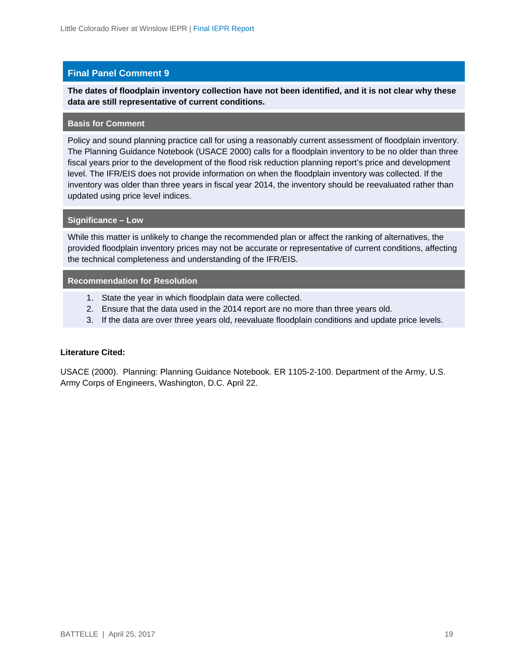#### **Final Panel Comment 9**

**The dates of floodplain inventory collection have not been identified, and it is not clear why these data are still representative of current conditions.** 

#### **Basis for Comment**

Policy and sound planning practice call for using a reasonably current assessment of floodplain inventory. The Planning Guidance Notebook (USACE 2000) calls for a floodplain inventory to be no older than three fiscal years prior to the development of the flood risk reduction planning report's price and development level. The IFR/EIS does not provide information on when the floodplain inventory was collected. If the inventory was older than three years in fiscal year 2014, the inventory should be reevaluated rather than updated using price level indices.

#### **Significance – Low**

While this matter is unlikely to change the recommended plan or affect the ranking of alternatives, the provided floodplain inventory prices may not be accurate or representative of current conditions, affecting the technical completeness and understanding of the IFR/EIS.

#### **Recommendation for Resolution**

- 1. State the year in which floodplain data were collected.
- 2. Ensure that the data used in the 2014 report are no more than three years old.
- 3. If the data are over three years old, reevaluate floodplain conditions and update price levels.

#### **Literature Cited:**

USACE (2000). Planning: Planning Guidance Notebook. ER 1105-2-100. Department of the Army, U.S. Army Corps of Engineers, Washington, D.C. April 22.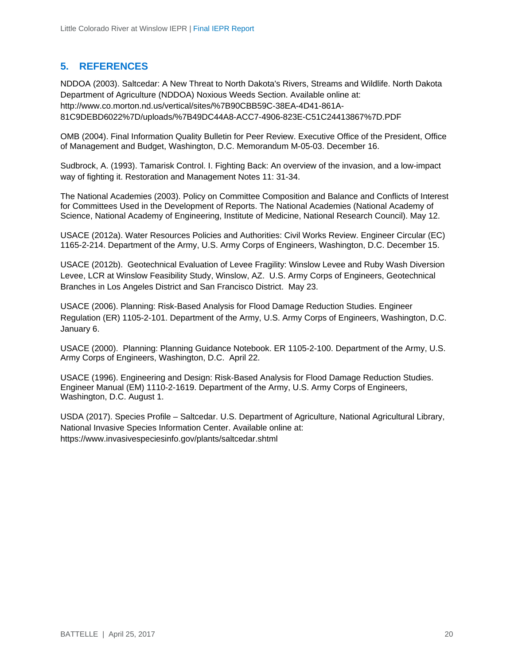# **5. REFERENCES**

NDDOA (2003). Saltcedar: A New Threat to North Dakota's Rivers, Streams and Wildlife. North Dakota Department of Agriculture (NDDOA) Noxious Weeds Section. Available online at: http://www.co.morton.nd.us/vertical/sites/%7B90CBB59C-38EA-4D41-861A-81C9DEBD6022%7D/uploads/%7B49DC44A8-ACC7-4906-823E-C51C24413867%7D.PDF

OMB (2004). Final Information Quality Bulletin for Peer Review. Executive Office of the President, Office of Management and Budget, Washington, D.C. Memorandum M-05-03. December 16.

Sudbrock, A. (1993). Tamarisk Control. I. Fighting Back: An overview of the invasion, and a low-impact way of fighting it. Restoration and Management Notes 11: 31-34.

The National Academies (2003). Policy on Committee Composition and Balance and Conflicts of Interest for Committees Used in the Development of Reports. The National Academies (National Academy of Science, National Academy of Engineering, Institute of Medicine, National Research Council). May 12.

USACE (2012a). Water Resources Policies and Authorities: Civil Works Review. Engineer Circular (EC) 1165-2-214. Department of the Army, U.S. Army Corps of Engineers, Washington, D.C. December 15.

USACE (2012b). Geotechnical Evaluation of Levee Fragility: Winslow Levee and Ruby Wash Diversion Levee, LCR at Winslow Feasibility Study, Winslow, AZ. U.S. Army Corps of Engineers, Geotechnical Branches in Los Angeles District and San Francisco District. May 23.

USACE (2006). Planning: Risk-Based Analysis for Flood Damage Reduction Studies. Engineer Regulation (ER) 1105-2-101. Department of the Army, U.S. Army Corps of Engineers, Washington, D.C. January 6.

USACE (2000). Planning: Planning Guidance Notebook. ER 1105-2-100. Department of the Army, U.S. Army Corps of Engineers, Washington, D.C. April 22.

USACE (1996). Engineering and Design: Risk-Based Analysis for Flood Damage Reduction Studies. Engineer Manual (EM) 1110-2-1619. Department of the Army, U.S. Army Corps of Engineers, Washington, D.C. August 1.

USDA (2017). Species Profile – Saltcedar. U.S. Department of Agriculture, National Agricultural Library, National Invasive Species Information Center. Available online at: https://www.invasivespeciesinfo.gov/plants/saltcedar.shtml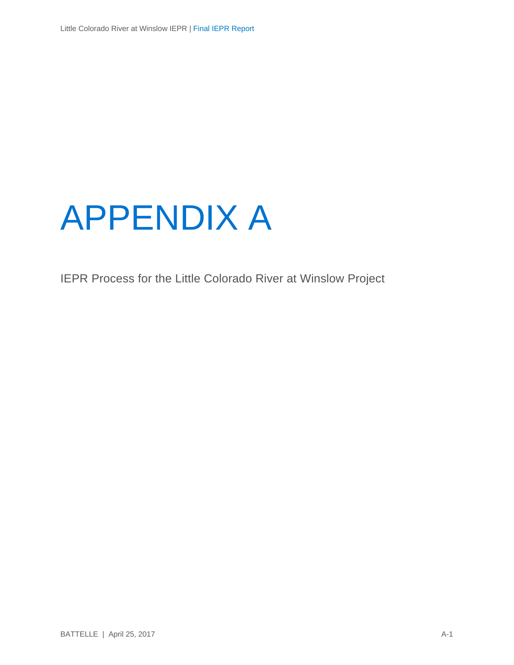# APPENDIX A

IEPR Process for the Little Colorado River at Winslow Project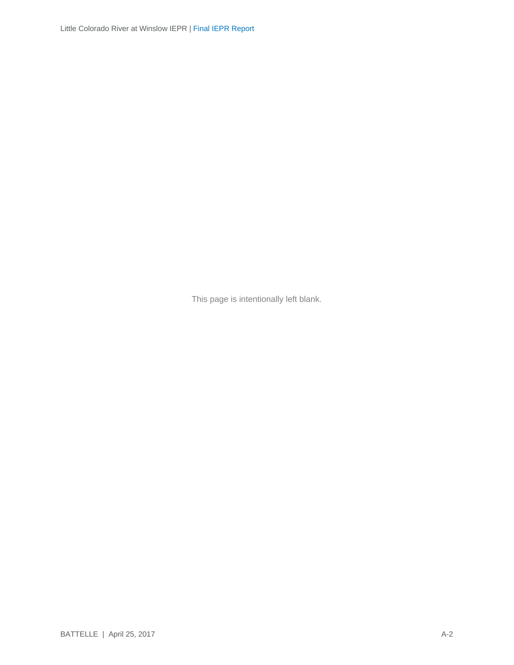This page is intentionally left blank.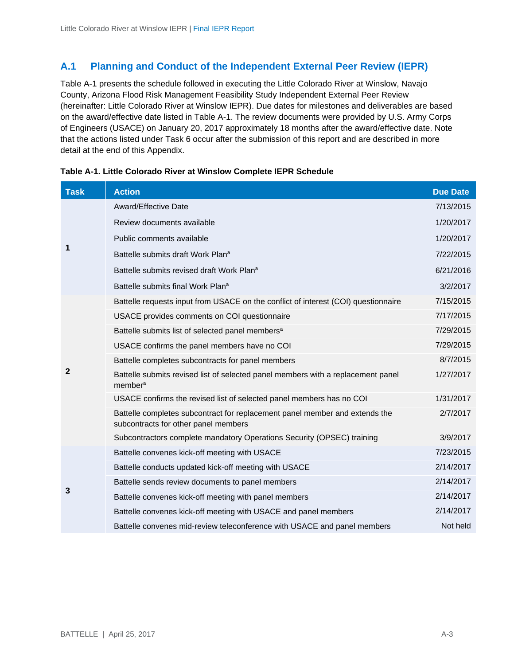# **A.1 Planning and Conduct of the Independent External Peer Review (IEPR)**

Table A-1 presents the schedule followed in executing the Little Colorado River at Winslow, Navajo County, Arizona Flood Risk Management Feasibility Study Independent External Peer Review (hereinafter: Little Colorado River at Winslow IEPR). Due dates for milestones and deliverables are based on the award/effective date listed in Table A-1. The review documents were provided by U.S. Army Corps of Engineers (USACE) on January 20, 2017 approximately 18 months after the award/effective date. Note that the actions listed under Task 6 occur after the submission of this report and are described in more detail at the end of this Appendix.

| <b>Task</b> | <b>Action</b>                                                                                                       | <b>Due Date</b> |
|-------------|---------------------------------------------------------------------------------------------------------------------|-----------------|
|             | Award/Effective Date                                                                                                | 7/13/2015       |
|             | Review documents available                                                                                          | 1/20/2017       |
|             | Public comments available                                                                                           | 1/20/2017       |
| 1           | Battelle submits draft Work Plan <sup>a</sup>                                                                       | 7/22/2015       |
|             | Battelle submits revised draft Work Plan <sup>a</sup>                                                               | 6/21/2016       |
|             | Battelle submits final Work Plan <sup>a</sup>                                                                       | 3/2/2017        |
|             | Battelle requests input from USACE on the conflict of interest (COI) questionnaire                                  | 7/15/2015       |
|             | USACE provides comments on COI questionnaire                                                                        | 7/17/2015       |
|             | Battelle submits list of selected panel members <sup>a</sup>                                                        | 7/29/2015       |
|             | USACE confirms the panel members have no COI                                                                        | 7/29/2015       |
|             | Battelle completes subcontracts for panel members                                                                   | 8/7/2015        |
| 2           | Battelle submits revised list of selected panel members with a replacement panel<br>member <sup>a</sup>             | 1/27/2017       |
|             | USACE confirms the revised list of selected panel members has no COI                                                | 1/31/2017       |
|             | Battelle completes subcontract for replacement panel member and extends the<br>subcontracts for other panel members | 2/7/2017        |
|             | Subcontractors complete mandatory Operations Security (OPSEC) training                                              | 3/9/2017        |
|             | Battelle convenes kick-off meeting with USACE                                                                       | 7/23/2015       |
|             | Battelle conducts updated kick-off meeting with USACE                                                               | 2/14/2017       |
|             | Battelle sends review documents to panel members                                                                    | 2/14/2017       |
| 3           | Battelle convenes kick-off meeting with panel members                                                               | 2/14/2017       |
|             | Battelle convenes kick-off meeting with USACE and panel members                                                     | 2/14/2017       |
|             | Battelle convenes mid-review teleconference with USACE and panel members                                            | Not held        |

| Table A-1. Little Colorado River at Winslow Complete IEPR Schedule |
|--------------------------------------------------------------------|
|--------------------------------------------------------------------|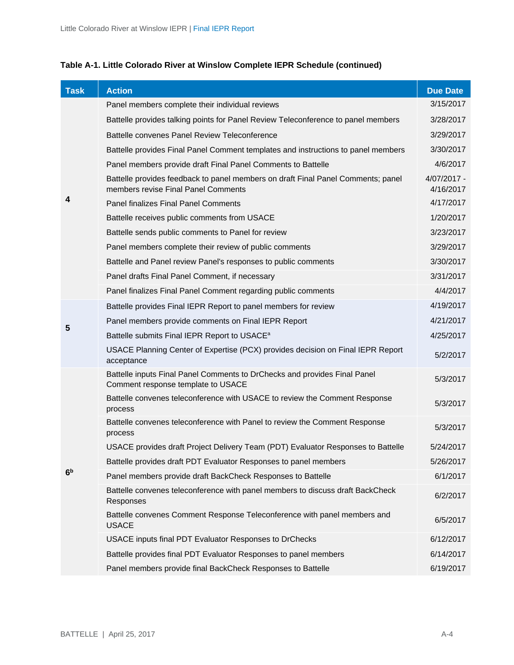| <b>Task</b>    | <b>Action</b>                                                                                                           | <b>Due Date</b>          |
|----------------|-------------------------------------------------------------------------------------------------------------------------|--------------------------|
|                | Panel members complete their individual reviews                                                                         | 3/15/2017                |
|                | Battelle provides talking points for Panel Review Teleconference to panel members                                       | 3/28/2017                |
|                | Battelle convenes Panel Review Teleconference                                                                           | 3/29/2017                |
|                | Battelle provides Final Panel Comment templates and instructions to panel members                                       | 3/30/2017                |
|                | Panel members provide draft Final Panel Comments to Battelle                                                            | 4/6/2017                 |
|                | Battelle provides feedback to panel members on draft Final Panel Comments; panel<br>members revise Final Panel Comments | 4/07/2017 -<br>4/16/2017 |
| 4              | Panel finalizes Final Panel Comments                                                                                    | 4/17/2017                |
|                | Battelle receives public comments from USACE                                                                            | 1/20/2017                |
|                | Battelle sends public comments to Panel for review                                                                      | 3/23/2017                |
|                | Panel members complete their review of public comments                                                                  | 3/29/2017                |
|                | Battelle and Panel review Panel's responses to public comments                                                          | 3/30/2017                |
|                | Panel drafts Final Panel Comment, if necessary                                                                          | 3/31/2017                |
|                | Panel finalizes Final Panel Comment regarding public comments                                                           | 4/4/2017                 |
|                | Battelle provides Final IEPR Report to panel members for review                                                         | 4/19/2017                |
|                | Panel members provide comments on Final IEPR Report                                                                     | 4/21/2017                |
| 5              | Battelle submits Final IEPR Report to USACE <sup>a</sup>                                                                | 4/25/2017                |
|                | USACE Planning Center of Expertise (PCX) provides decision on Final IEPR Report<br>acceptance                           | 5/2/2017                 |
|                | Battelle inputs Final Panel Comments to DrChecks and provides Final Panel<br>Comment response template to USACE         | 5/3/2017                 |
|                | Battelle convenes teleconference with USACE to review the Comment Response<br>process                                   | 5/3/2017                 |
|                | Battelle convenes teleconference with Panel to review the Comment Response<br>process                                   | 5/3/2017                 |
|                | USACE provides draft Project Delivery Team (PDT) Evaluator Responses to Battelle                                        | 5/24/2017                |
|                | Battelle provides draft PDT Evaluator Responses to panel members                                                        | 5/26/2017                |
| 6 <sup>b</sup> | Panel members provide draft BackCheck Responses to Battelle                                                             | 6/1/2017                 |
|                | Battelle convenes teleconference with panel members to discuss draft BackCheck<br>Responses                             | 6/2/2017                 |
|                | Battelle convenes Comment Response Teleconference with panel members and<br><b>USACE</b>                                | 6/5/2017                 |
|                | USACE inputs final PDT Evaluator Responses to DrChecks                                                                  | 6/12/2017                |
|                | Battelle provides final PDT Evaluator Responses to panel members                                                        | 6/14/2017                |
|                | Panel members provide final BackCheck Responses to Battelle                                                             | 6/19/2017                |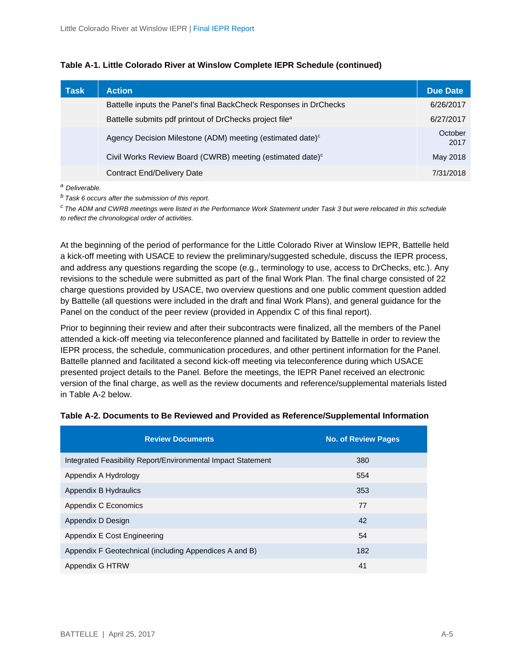| <b>Task</b> | <b>Action</b>                                                         | <b>Due Date</b> |
|-------------|-----------------------------------------------------------------------|-----------------|
|             | Battelle inputs the Panel's final BackCheck Responses in DrChecks     | 6/26/2017       |
|             | Battelle submits pdf printout of DrChecks project file <sup>a</sup>   | 6/27/2017       |
|             | Agency Decision Milestone (ADM) meeting (estimated date) <sup>c</sup> | October<br>2017 |
|             | Civil Works Review Board (CWRB) meeting (estimated date) <sup>c</sup> | May 2018        |
|             | <b>Contract End/Delivery Date</b>                                     | 7/31/2018       |

#### **Table A-1. Little Colorado River at Winslow Complete IEPR Schedule (continued)**

*<sup>a</sup> Deliverable. b Task 6 occurs after the submission of this report.*

*c The ADM and CWRB meetings were listed in the Performance Work Statement under Task 3 but were relocated in this schedule to reflect the chronological order of activities.*

At the beginning of the period of performance for the Little Colorado River at Winslow IEPR, Battelle held a kick-off meeting with USACE to review the preliminary/suggested schedule, discuss the IEPR process, and address any questions regarding the scope (e.g., terminology to use, access to DrChecks, etc.). Any revisions to the schedule were submitted as part of the final Work Plan. The final charge consisted of 22 charge questions provided by USACE, two overview questions and one public comment question added by Battelle (all questions were included in the draft and final Work Plans), and general guidance for the Panel on the conduct of the peer review (provided in Appendix C of this final report).

Prior to beginning their review and after their subcontracts were finalized, all the members of the Panel attended a kick-off meeting via teleconference planned and facilitated by Battelle in order to review the IEPR process, the schedule, communication procedures, and other pertinent information for the Panel. Battelle planned and facilitated a second kick-off meeting via teleconference during which USACE presented project details to the Panel. Before the meetings, the IEPR Panel received an electronic version of the final charge, as well as the review documents and reference/supplemental materials listed in Table A-2 below.

| <b>Review Documents</b>                                      | <b>No. of Review Pages</b> |
|--------------------------------------------------------------|----------------------------|
| Integrated Feasibility Report/Environmental Impact Statement | 380                        |
| Appendix A Hydrology                                         | 554                        |
| Appendix B Hydraulics                                        | 353                        |
| Appendix C Economics                                         | 77                         |
| Appendix D Design                                            | 42                         |
| Appendix E Cost Engineering                                  | 54                         |
| Appendix F Geotechnical (including Appendices A and B)       | 182                        |
| Appendix G HTRW                                              | 41                         |

#### **Table A-2. Documents to Be Reviewed and Provided as Reference/Supplemental Information**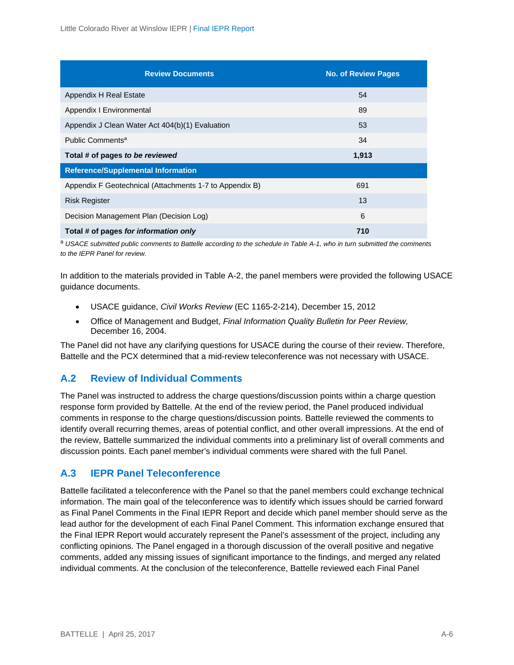| <b>Review Documents</b>                                 | <b>No. of Review Pages</b> |
|---------------------------------------------------------|----------------------------|
| Appendix H Real Estate                                  | 54                         |
| Appendix I Environmental                                | 89                         |
| Appendix J Clean Water Act 404(b)(1) Evaluation         | 53                         |
| Public Comments <sup>a</sup>                            | 34                         |
| Total # of pages to be reviewed                         | 1,913                      |
| <b>Reference/Supplemental Information</b>               |                            |
| Appendix F Geotechnical (Attachments 1-7 to Appendix B) | 691                        |
| <b>Risk Register</b>                                    | 13                         |
| Decision Management Plan (Decision Log)                 | 6                          |
| Total # of pages for information only                   | 710                        |

<sup>a</sup> *USACE submitted public comments to Battelle according to the schedule in Table A-1, who in turn submitted the comments to the IEPR Panel for review.* 

In addition to the materials provided in Table A-2, the panel members were provided the following USACE guidance documents.

- USACE guidance, *Civil Works Review* (EC 1165-2-214), December 15, 2012
- Office of Management and Budget, *Final Information Quality Bulletin for Peer Review,* December 16, 2004.

The Panel did not have any clarifying questions for USACE during the course of their review. Therefore, Battelle and the PCX determined that a mid-review teleconference was not necessary with USACE.

# **A.2 Review of Individual Comments**

The Panel was instructed to address the charge questions/discussion points within a charge question response form provided by Battelle. At the end of the review period, the Panel produced individual comments in response to the charge questions/discussion points. Battelle reviewed the comments to identify overall recurring themes, areas of potential conflict, and other overall impressions. At the end of the review, Battelle summarized the individual comments into a preliminary list of overall comments and discussion points. Each panel member's individual comments were shared with the full Panel.

# **A.3 IEPR Panel Teleconference**

Battelle facilitated a teleconference with the Panel so that the panel members could exchange technical information. The main goal of the teleconference was to identify which issues should be carried forward as Final Panel Comments in the Final IEPR Report and decide which panel member should serve as the lead author for the development of each Final Panel Comment. This information exchange ensured that the Final IEPR Report would accurately represent the Panel's assessment of the project, including any conflicting opinions. The Panel engaged in a thorough discussion of the overall positive and negative comments, added any missing issues of significant importance to the findings, and merged any related individual comments. At the conclusion of the teleconference, Battelle reviewed each Final Panel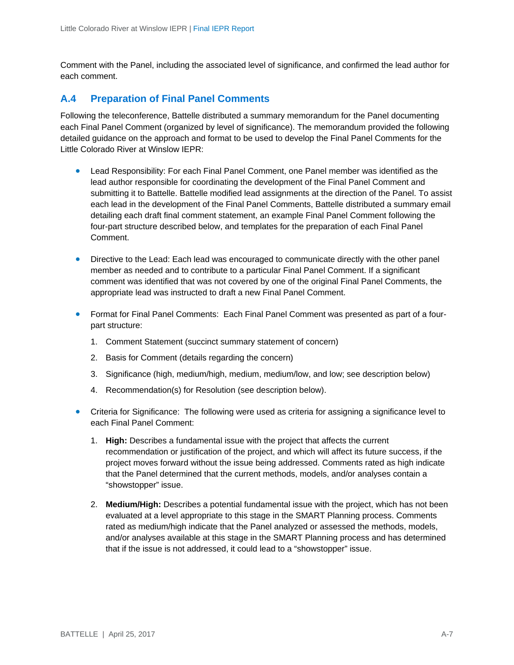Comment with the Panel, including the associated level of significance, and confirmed the lead author for each comment.

#### **A.4 Preparation of Final Panel Comments**

Following the teleconference, Battelle distributed a summary memorandum for the Panel documenting each Final Panel Comment (organized by level of significance). The memorandum provided the following detailed guidance on the approach and format to be used to develop the Final Panel Comments for the Little Colorado River at Winslow IEPR:

- Lead Responsibility: For each Final Panel Comment, one Panel member was identified as the lead author responsible for coordinating the development of the Final Panel Comment and submitting it to Battelle. Battelle modified lead assignments at the direction of the Panel. To assist each lead in the development of the Final Panel Comments, Battelle distributed a summary email detailing each draft final comment statement, an example Final Panel Comment following the four-part structure described below, and templates for the preparation of each Final Panel Comment.
- **•** Directive to the Lead: Each lead was encouraged to communicate directly with the other panel member as needed and to contribute to a particular Final Panel Comment. If a significant comment was identified that was not covered by one of the original Final Panel Comments, the appropriate lead was instructed to draft a new Final Panel Comment.
- Format for Final Panel Comments: Each Final Panel Comment was presented as part of a fourpart structure:
	- 1. Comment Statement (succinct summary statement of concern)
	- 2. Basis for Comment (details regarding the concern)
	- 3. Significance (high, medium/high, medium, medium/low, and low; see description below)
	- 4. Recommendation(s) for Resolution (see description below).
- Criteria for Significance: The following were used as criteria for assigning a significance level to each Final Panel Comment:
	- 1. **High:** Describes a fundamental issue with the project that affects the current recommendation or justification of the project, and which will affect its future success, if the project moves forward without the issue being addressed. Comments rated as high indicate that the Panel determined that the current methods, models, and/or analyses contain a "showstopper" issue.
	- 2. **Medium/High:** Describes a potential fundamental issue with the project, which has not been evaluated at a level appropriate to this stage in the SMART Planning process. Comments rated as medium/high indicate that the Panel analyzed or assessed the methods, models, and/or analyses available at this stage in the SMART Planning process and has determined that if the issue is not addressed, it could lead to a "showstopper" issue.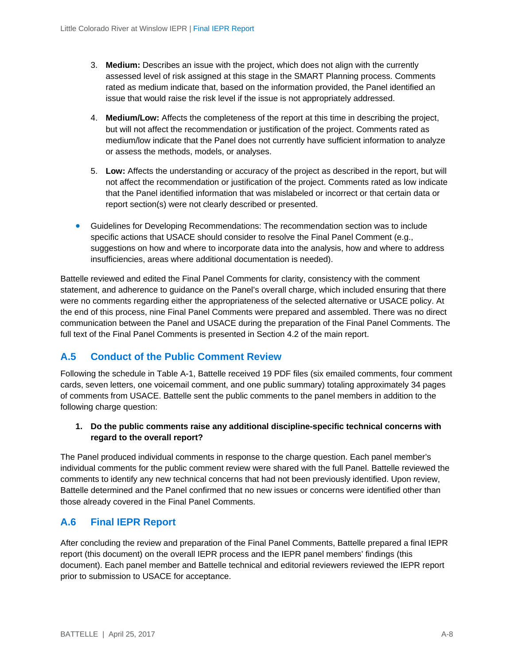- 3. **Medium:** Describes an issue with the project, which does not align with the currently assessed level of risk assigned at this stage in the SMART Planning process. Comments rated as medium indicate that, based on the information provided, the Panel identified an issue that would raise the risk level if the issue is not appropriately addressed.
- 4. **Medium/Low:** Affects the completeness of the report at this time in describing the project, but will not affect the recommendation or justification of the project. Comments rated as medium/low indicate that the Panel does not currently have sufficient information to analyze or assess the methods, models, or analyses.
- 5. **Low:** Affects the understanding or accuracy of the project as described in the report, but will not affect the recommendation or justification of the project. Comments rated as low indicate that the Panel identified information that was mislabeled or incorrect or that certain data or report section(s) were not clearly described or presented.
- Guidelines for Developing Recommendations: The recommendation section was to include specific actions that USACE should consider to resolve the Final Panel Comment (e.g., suggestions on how and where to incorporate data into the analysis, how and where to address insufficiencies, areas where additional documentation is needed).

Battelle reviewed and edited the Final Panel Comments for clarity, consistency with the comment statement, and adherence to guidance on the Panel's overall charge, which included ensuring that there were no comments regarding either the appropriateness of the selected alternative or USACE policy. At the end of this process, nine Final Panel Comments were prepared and assembled. There was no direct communication between the Panel and USACE during the preparation of the Final Panel Comments. The full text of the Final Panel Comments is presented in Section 4.2 of the main report.

# **A.5 Conduct of the Public Comment Review**

Following the schedule in Table A-1, Battelle received 19 PDF files (six emailed comments, four comment cards, seven letters, one voicemail comment, and one public summary) totaling approximately 34 pages of comments from USACE. Battelle sent the public comments to the panel members in addition to the following charge question:

#### **1. Do the public comments raise any additional discipline-specific technical concerns with regard to the overall report?**

The Panel produced individual comments in response to the charge question. Each panel member's individual comments for the public comment review were shared with the full Panel. Battelle reviewed the comments to identify any new technical concerns that had not been previously identified. Upon review, Battelle determined and the Panel confirmed that no new issues or concerns were identified other than those already covered in the Final Panel Comments.

# **A.6 Final IEPR Report**

After concluding the review and preparation of the Final Panel Comments, Battelle prepared a final IEPR report (this document) on the overall IEPR process and the IEPR panel members' findings (this document). Each panel member and Battelle technical and editorial reviewers reviewed the IEPR report prior to submission to USACE for acceptance.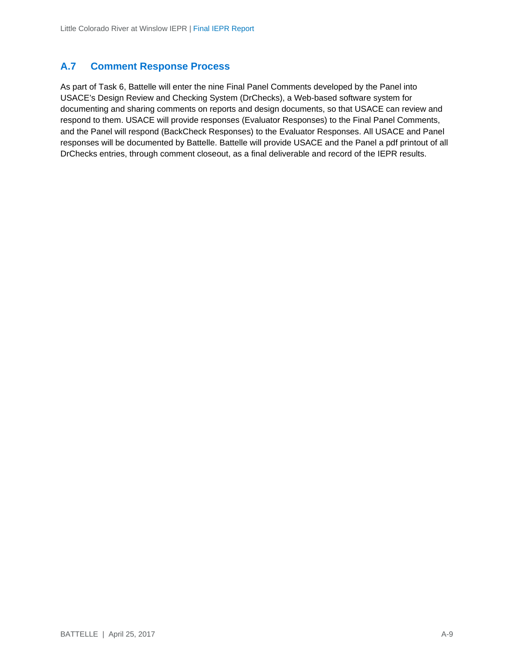# **A.7 Comment Response Process**

As part of Task 6, Battelle will enter the nine Final Panel Comments developed by the Panel into USACE's Design Review and Checking System (DrChecks), a Web-based software system for documenting and sharing comments on reports and design documents, so that USACE can review and respond to them. USACE will provide responses (Evaluator Responses) to the Final Panel Comments, and the Panel will respond (BackCheck Responses) to the Evaluator Responses. All USACE and Panel responses will be documented by Battelle. Battelle will provide USACE and the Panel a pdf printout of all DrChecks entries, through comment closeout, as a final deliverable and record of the IEPR results.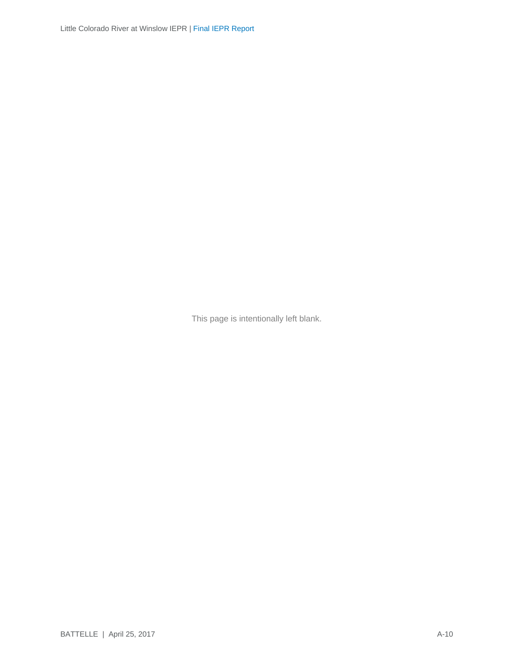This page is intentionally left blank.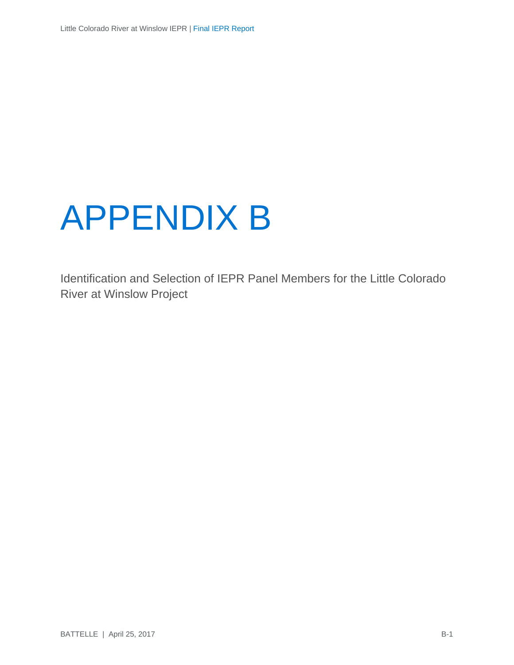# APPENDIX B

Identification and Selection of IEPR Panel Members for the Little Colorado River at Winslow Project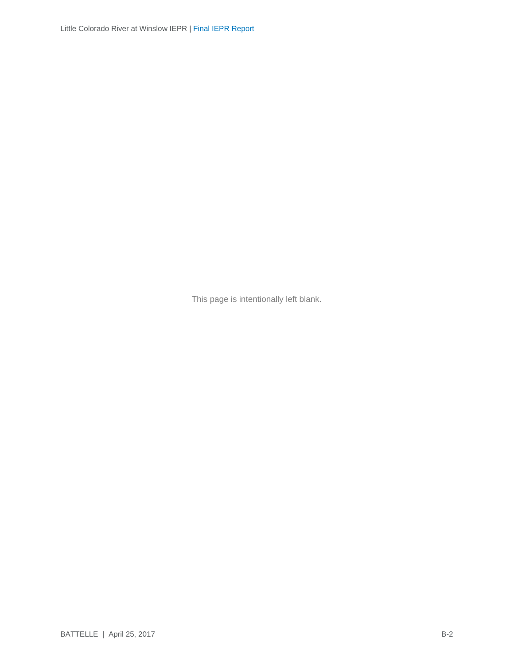This page is intentionally left blank.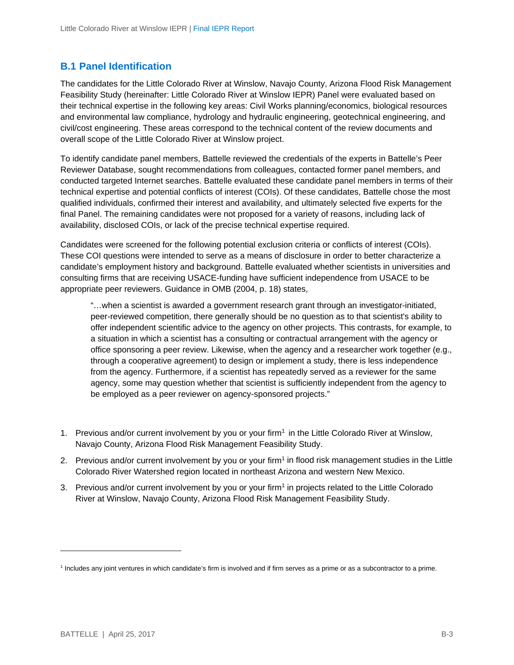# **B.1 Panel Identification**

The candidates for the Little Colorado River at Winslow, Navajo County, Arizona Flood Risk Management Feasibility Study (hereinafter: Little Colorado River at Winslow IEPR) Panel were evaluated based on their technical expertise in the following key areas: Civil Works planning/economics, biological resources and environmental law compliance, hydrology and hydraulic engineering, geotechnical engineering, and civil/cost engineering. These areas correspond to the technical content of the review documents and overall scope of the Little Colorado River at Winslow project.

To identify candidate panel members, Battelle reviewed the credentials of the experts in Battelle's Peer Reviewer Database, sought recommendations from colleagues, contacted former panel members, and conducted targeted Internet searches. Battelle evaluated these candidate panel members in terms of their technical expertise and potential conflicts of interest (COIs). Of these candidates, Battelle chose the most qualified individuals, confirmed their interest and availability, and ultimately selected five experts for the final Panel. The remaining candidates were not proposed for a variety of reasons, including lack of availability, disclosed COIs, or lack of the precise technical expertise required.

Candidates were screened for the following potential exclusion criteria or conflicts of interest (COIs). These COI questions were intended to serve as a means of disclosure in order to better characterize a candidate's employment history and background. Battelle evaluated whether scientists in universities and consulting firms that are receiving USACE-funding have sufficient independence from USACE to be appropriate peer reviewers. Guidance in OMB (2004, p. 18) states,

"…when a scientist is awarded a government research grant through an investigator-initiated, peer-reviewed competition, there generally should be no question as to that scientist's ability to offer independent scientific advice to the agency on other projects. This contrasts, for example, to a situation in which a scientist has a consulting or contractual arrangement with the agency or office sponsoring a peer review. Likewise, when the agency and a researcher work together (e.g., through a cooperative agreement) to design or implement a study, there is less independence from the agency. Furthermore, if a scientist has repeatedly served as a reviewer for the same agency, some may question whether that scientist is sufficiently independent from the agency to be employed as a peer reviewer on agency-sponsored projects."

- 1. Previous and/or current involvement by you or your firm<sup>1</sup> in the Little Colorado River at Winslow, Navajo County, Arizona Flood Risk Management Feasibility Study.
- 2. Previous and/or current involvement by you or your firm<sup>1</sup> in flood risk management studies in the Little Colorado River Watershed region located in northeast Arizona and western New Mexico.
- 3. Previous and/or current involvement by you or your firm<sup>1</sup> in projects related to the Little Colorado River at Winslow, Navajo County, Arizona Flood Risk Management Feasibility Study.

l

<sup>&</sup>lt;sup>1</sup> Includes any joint ventures in which candidate's firm is involved and if firm serves as a prime or as a subcontractor to a prime.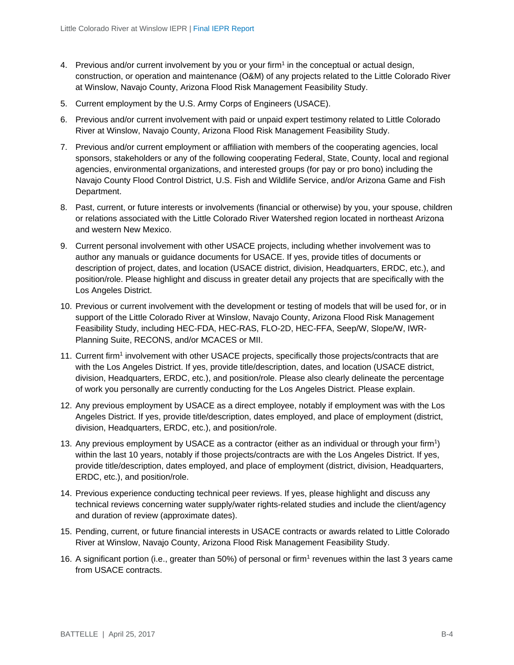- 4. Previous and/or current involvement by you or your firm<sup>1</sup> in the conceptual or actual design, construction, or operation and maintenance (O&M) of any projects related to the Little Colorado River at Winslow, Navajo County, Arizona Flood Risk Management Feasibility Study.
- 5. Current employment by the U.S. Army Corps of Engineers (USACE).
- 6. Previous and/or current involvement with paid or unpaid expert testimony related to Little Colorado River at Winslow, Navajo County, Arizona Flood Risk Management Feasibility Study.
- 7. Previous and/or current employment or affiliation with members of the cooperating agencies, local sponsors, stakeholders or any of the following cooperating Federal, State, County, local and regional agencies, environmental organizations, and interested groups (for pay or pro bono) including the Navajo County Flood Control District, U.S. Fish and Wildlife Service, and/or Arizona Game and Fish Department.
- 8. Past, current, or future interests or involvements (financial or otherwise) by you, your spouse, children or relations associated with the Little Colorado River Watershed region located in northeast Arizona and western New Mexico.
- 9. Current personal involvement with other USACE projects, including whether involvement was to author any manuals or guidance documents for USACE. If yes, provide titles of documents or description of project, dates, and location (USACE district, division, Headquarters, ERDC, etc.), and position/role. Please highlight and discuss in greater detail any projects that are specifically with the Los Angeles District.
- 10. Previous or current involvement with the development or testing of models that will be used for, or in support of the Little Colorado River at Winslow, Navajo County, Arizona Flood Risk Management Feasibility Study, including HEC-FDA, HEC-RAS, FLO-2D, HEC-FFA, Seep/W, Slope/W, IWR-Planning Suite, RECONS, and/or MCACES or MII.
- 11. Current firm<sup>1</sup> involvement with other USACE projects, specifically those projects/contracts that are with the Los Angeles District. If yes, provide title/description, dates, and location (USACE district, division, Headquarters, ERDC, etc.), and position/role. Please also clearly delineate the percentage of work you personally are currently conducting for the Los Angeles District. Please explain.
- 12. Any previous employment by USACE as a direct employee, notably if employment was with the Los Angeles District. If yes, provide title/description, dates employed, and place of employment (district, division, Headquarters, ERDC, etc.), and position/role.
- 13. Any previous employment by USACE as a contractor (either as an individual or through your firm1) within the last 10 years, notably if those projects/contracts are with the Los Angeles District. If yes, provide title/description, dates employed, and place of employment (district, division, Headquarters, ERDC, etc.), and position/role.
- 14. Previous experience conducting technical peer reviews. If yes, please highlight and discuss any technical reviews concerning water supply/water rights-related studies and include the client/agency and duration of review (approximate dates).
- 15. Pending, current, or future financial interests in USACE contracts or awards related to Little Colorado River at Winslow, Navajo County, Arizona Flood Risk Management Feasibility Study.
- 16. A significant portion (i.e., greater than 50%) of personal or firm<sup>1</sup> revenues within the last 3 years came from USACE contracts.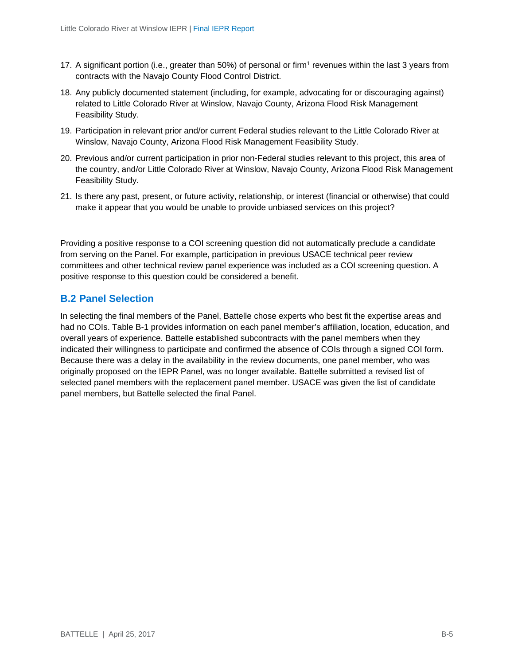- 17. A significant portion (i.e., greater than 50%) of personal or firm<sup>1</sup> revenues within the last 3 years from contracts with the Navajo County Flood Control District.
- 18. Any publicly documented statement (including, for example, advocating for or discouraging against) related to Little Colorado River at Winslow, Navajo County, Arizona Flood Risk Management Feasibility Study.
- 19. Participation in relevant prior and/or current Federal studies relevant to the Little Colorado River at Winslow, Navajo County, Arizona Flood Risk Management Feasibility Study.
- 20. Previous and/or current participation in prior non-Federal studies relevant to this project, this area of the country, and/or Little Colorado River at Winslow, Navajo County, Arizona Flood Risk Management Feasibility Study.
- 21. Is there any past, present, or future activity, relationship, or interest (financial or otherwise) that could make it appear that you would be unable to provide unbiased services on this project?

Providing a positive response to a COI screening question did not automatically preclude a candidate from serving on the Panel. For example, participation in previous USACE technical peer review committees and other technical review panel experience was included as a COI screening question. A positive response to this question could be considered a benefit.

# **B.2 Panel Selection**

In selecting the final members of the Panel, Battelle chose experts who best fit the expertise areas and had no COIs. Table B-1 provides information on each panel member's affiliation, location, education, and overall years of experience. Battelle established subcontracts with the panel members when they indicated their willingness to participate and confirmed the absence of COIs through a signed COI form. Because there was a delay in the availability in the review documents, one panel member, who was originally proposed on the IEPR Panel, was no longer available. Battelle submitted a revised list of selected panel members with the replacement panel member. USACE was given the list of candidate panel members, but Battelle selected the final Panel.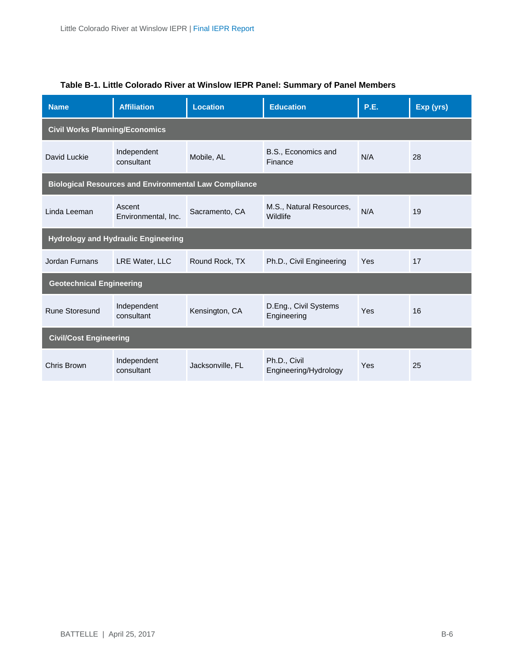| <b>Name</b>                                                  | <b>Affiliation</b>            | <b>Location</b>  | <b>Education</b>                      | <b>P.E.</b> | Exp (yrs) |  |  |
|--------------------------------------------------------------|-------------------------------|------------------|---------------------------------------|-------------|-----------|--|--|
| <b>Civil Works Planning/Economics</b>                        |                               |                  |                                       |             |           |  |  |
| David Luckie                                                 | Independent<br>consultant     | Mobile, AL       | B.S., Economics and<br>Finance        | N/A         | 28        |  |  |
| <b>Biological Resources and Environmental Law Compliance</b> |                               |                  |                                       |             |           |  |  |
| Linda Leeman                                                 | Ascent<br>Environmental, Inc. | Sacramento, CA   | M.S., Natural Resources,<br>Wildlife  | N/A         | 19        |  |  |
| <b>Hydrology and Hydraulic Engineering</b>                   |                               |                  |                                       |             |           |  |  |
| Jordan Furnans                                               | LRE Water, LLC                | Round Rock, TX   | Ph.D., Civil Engineering              | Yes         | 17        |  |  |
| <b>Geotechnical Engineering</b>                              |                               |                  |                                       |             |           |  |  |
| Rune Storesund                                               | Independent<br>consultant     | Kensington, CA   | D.Eng., Civil Systems<br>Engineering  | Yes         | 16        |  |  |
| <b>Civil/Cost Engineering</b>                                |                               |                  |                                       |             |           |  |  |
| Chris Brown                                                  | Independent<br>consultant     | Jacksonville, FL | Ph.D., Civil<br>Engineering/Hydrology | Yes         | 25        |  |  |

# **Table B-1. Little Colorado River at Winslow IEPR Panel: Summary of Panel Members**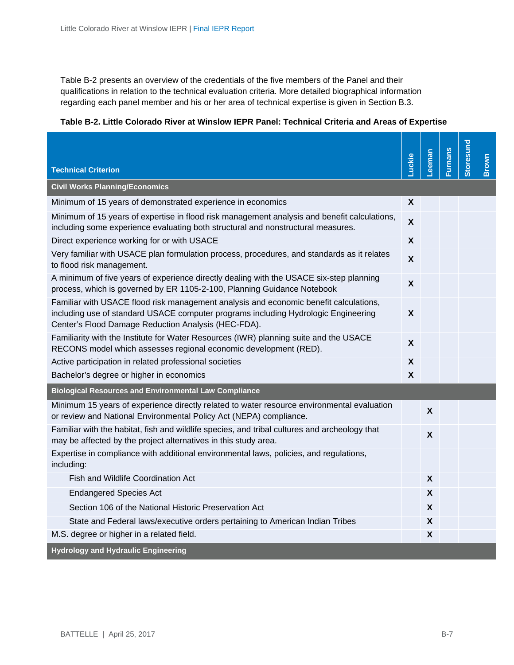Table B-2 presents an overview of the credentials of the five members of the Panel and their qualifications in relation to the technical evaluation criteria. More detailed biographical information regarding each panel member and his or her area of technical expertise is given in Section B.3.

# **Table B-2. Little Colorado River at Winslow IEPR Panel: Technical Criteria and Areas of Expertise**

| <b>Technical Criterion</b>                                                                                                                                                                                                         | Luckie                    | Leeman                    | Furnans | <b>Storesund</b> | <b>Brown</b> |
|------------------------------------------------------------------------------------------------------------------------------------------------------------------------------------------------------------------------------------|---------------------------|---------------------------|---------|------------------|--------------|
| <b>Civil Works Planning/Economics</b>                                                                                                                                                                                              |                           |                           |         |                  |              |
| Minimum of 15 years of demonstrated experience in economics                                                                                                                                                                        | X                         |                           |         |                  |              |
| Minimum of 15 years of expertise in flood risk management analysis and benefit calculations,<br>including some experience evaluating both structural and nonstructural measures.                                                   | $\boldsymbol{\mathsf{X}}$ |                           |         |                  |              |
| Direct experience working for or with USACE                                                                                                                                                                                        | X                         |                           |         |                  |              |
| Very familiar with USACE plan formulation process, procedures, and standards as it relates<br>to flood risk management.                                                                                                            | $\boldsymbol{\mathsf{X}}$ |                           |         |                  |              |
| A minimum of five years of experience directly dealing with the USACE six-step planning<br>process, which is governed by ER 1105-2-100, Planning Guidance Notebook                                                                 | $\boldsymbol{\mathsf{X}}$ |                           |         |                  |              |
| Familiar with USACE flood risk management analysis and economic benefit calculations,<br>including use of standard USACE computer programs including Hydrologic Engineering<br>Center's Flood Damage Reduction Analysis (HEC-FDA). | X                         |                           |         |                  |              |
| Familiarity with the Institute for Water Resources (IWR) planning suite and the USACE<br>RECONS model which assesses regional economic development (RED).                                                                          | X                         |                           |         |                  |              |
| Active participation in related professional societies                                                                                                                                                                             | X                         |                           |         |                  |              |
| Bachelor's degree or higher in economics                                                                                                                                                                                           | X                         |                           |         |                  |              |
| <b>Biological Resources and Environmental Law Compliance</b>                                                                                                                                                                       |                           |                           |         |                  |              |
| Minimum 15 years of experience directly related to water resource environmental evaluation<br>or review and National Environmental Policy Act (NEPA) compliance.                                                                   |                           | $\boldsymbol{\mathsf{X}}$ |         |                  |              |
| Familiar with the habitat, fish and wildlife species, and tribal cultures and archeology that<br>may be affected by the project alternatives in this study area.                                                                   |                           | $\boldsymbol{X}$          |         |                  |              |
| Expertise in compliance with additional environmental laws, policies, and regulations,<br>including:                                                                                                                               |                           |                           |         |                  |              |
| Fish and Wildlife Coordination Act                                                                                                                                                                                                 |                           | $\boldsymbol{X}$          |         |                  |              |
| <b>Endangered Species Act</b>                                                                                                                                                                                                      |                           | $\boldsymbol{\mathsf{X}}$ |         |                  |              |
| Section 106 of the National Historic Preservation Act                                                                                                                                                                              |                           | X                         |         |                  |              |
| State and Federal laws/executive orders pertaining to American Indian Tribes                                                                                                                                                       |                           | $\boldsymbol{\mathsf{X}}$ |         |                  |              |
| M.S. degree or higher in a related field.                                                                                                                                                                                          |                           | X                         |         |                  |              |
| <b>Hydrology and Hydraulic Engineering</b>                                                                                                                                                                                         |                           |                           |         |                  |              |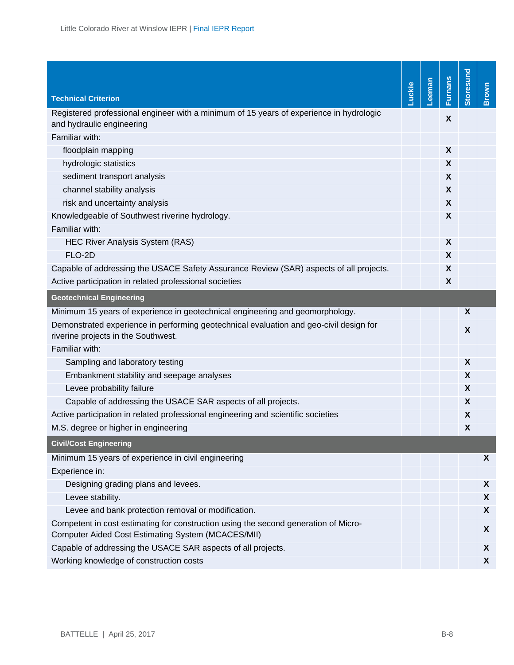|                                                                                                                                                  |        | Leeman | <b>Furnans</b> | Storesund |                  |
|--------------------------------------------------------------------------------------------------------------------------------------------------|--------|--------|----------------|-----------|------------------|
| <b>Technical Criterion</b>                                                                                                                       | -uckie |        |                |           | <b>Brown</b>     |
| Registered professional engineer with a minimum of 15 years of experience in hydrologic<br>and hydraulic engineering                             |        |        | X              |           |                  |
| Familiar with:                                                                                                                                   |        |        |                |           |                  |
| floodplain mapping                                                                                                                               |        |        | X              |           |                  |
| hydrologic statistics                                                                                                                            |        |        | X              |           |                  |
| sediment transport analysis                                                                                                                      |        |        | X              |           |                  |
| channel stability analysis                                                                                                                       |        |        | X              |           |                  |
| risk and uncertainty analysis                                                                                                                    |        |        | X              |           |                  |
| Knowledgeable of Southwest riverine hydrology.                                                                                                   |        |        | X              |           |                  |
| Familiar with:                                                                                                                                   |        |        |                |           |                  |
| <b>HEC River Analysis System (RAS)</b>                                                                                                           |        |        | X              |           |                  |
| FLO-2D                                                                                                                                           |        |        | X              |           |                  |
| Capable of addressing the USACE Safety Assurance Review (SAR) aspects of all projects.                                                           |        |        | X.             |           |                  |
| Active participation in related professional societies                                                                                           |        |        | X              |           |                  |
| <b>Geotechnical Engineering</b>                                                                                                                  |        |        |                |           |                  |
| Minimum 15 years of experience in geotechnical engineering and geomorphology.                                                                    |        |        |                | X         |                  |
| Demonstrated experience in performing geotechnical evaluation and geo-civil design for<br>riverine projects in the Southwest.                    |        |        |                | X         |                  |
| Familiar with:                                                                                                                                   |        |        |                |           |                  |
| Sampling and laboratory testing                                                                                                                  |        |        |                | X         |                  |
| Embankment stability and seepage analyses                                                                                                        |        |        |                | X         |                  |
| Levee probability failure                                                                                                                        |        |        |                | X         |                  |
| Capable of addressing the USACE SAR aspects of all projects.                                                                                     |        |        |                | X         |                  |
| Active participation in related professional engineering and scientific societies                                                                |        |        |                | X         |                  |
| M.S. degree or higher in engineering                                                                                                             |        |        |                | X         |                  |
| <b>Civil/Cost Engineering</b>                                                                                                                    |        |        |                |           |                  |
| Minimum 15 years of experience in civil engineering                                                                                              |        |        |                |           | $\boldsymbol{X}$ |
| Experience in:                                                                                                                                   |        |        |                |           |                  |
| Designing grading plans and levees.                                                                                                              |        |        |                |           | X                |
| Levee stability.                                                                                                                                 |        |        |                |           | X                |
| Levee and bank protection removal or modification.                                                                                               |        |        |                |           | $\boldsymbol{X}$ |
| Competent in cost estimating for construction using the second generation of Micro-<br><b>Computer Aided Cost Estimating System (MCACES/MII)</b> |        |        |                |           | $\boldsymbol{X}$ |
| Capable of addressing the USACE SAR aspects of all projects.                                                                                     |        |        |                |           | $\boldsymbol{X}$ |
| Working knowledge of construction costs                                                                                                          |        |        |                |           | $\boldsymbol{X}$ |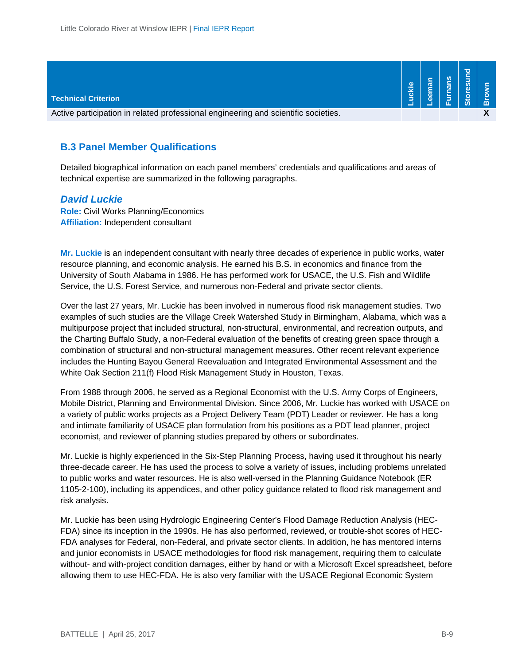**Technical Criterion** 

Active participation in related professional engineering and scientific societies. **X** 

# **B.3 Panel Member Qualifications**

Detailed biographical information on each panel members' credentials and qualifications and areas of technical expertise are summarized in the following paragraphs.

#### *David Luckie*

**Role:** Civil Works Planning/Economics **Affiliation:** Independent consultant

**Mr. Luckie** is an independent consultant with nearly three decades of experience in public works, water resource planning, and economic analysis. He earned his B.S. in economics and finance from the University of South Alabama in 1986. He has performed work for USACE, the U.S. Fish and Wildlife Service, the U.S. Forest Service, and numerous non-Federal and private sector clients.

Over the last 27 years, Mr. Luckie has been involved in numerous flood risk management studies. Two examples of such studies are the Village Creek Watershed Study in Birmingham, Alabama, which was a multipurpose project that included structural, non-structural, environmental, and recreation outputs, and the Charting Buffalo Study, a non-Federal evaluation of the benefits of creating green space through a combination of structural and non-structural management measures. Other recent relevant experience includes the Hunting Bayou General Reevaluation and Integrated Environmental Assessment and the White Oak Section 211(f) Flood Risk Management Study in Houston, Texas.

From 1988 through 2006, he served as a Regional Economist with the U.S. Army Corps of Engineers, Mobile District, Planning and Environmental Division. Since 2006, Mr. Luckie has worked with USACE on a variety of public works projects as a Project Delivery Team (PDT) Leader or reviewer. He has a long and intimate familiarity of USACE plan formulation from his positions as a PDT lead planner, project economist, and reviewer of planning studies prepared by others or subordinates.

Mr. Luckie is highly experienced in the Six-Step Planning Process, having used it throughout his nearly three-decade career. He has used the process to solve a variety of issues, including problems unrelated to public works and water resources. He is also well-versed in the Planning Guidance Notebook (ER 1105-2-100), including its appendices, and other policy guidance related to flood risk management and risk analysis.

Mr. Luckie has been using Hydrologic Engineering Center's Flood Damage Reduction Analysis (HEC-FDA) since its inception in the 1990s. He has also performed, reviewed, or trouble-shot scores of HEC-FDA analyses for Federal, non-Federal, and private sector clients. In addition, he has mentored interns and junior economists in USACE methodologies for flood risk management, requiring them to calculate without- and with-project condition damages, either by hand or with a Microsoft Excel spreadsheet, before allowing them to use HEC-FDA. He is also very familiar with the USACE Regional Economic System

**Luckie** 

**Leeman** 

eeman

**Furnans** 

**urnans** 

**Storesund** 

Storesund

**Brown**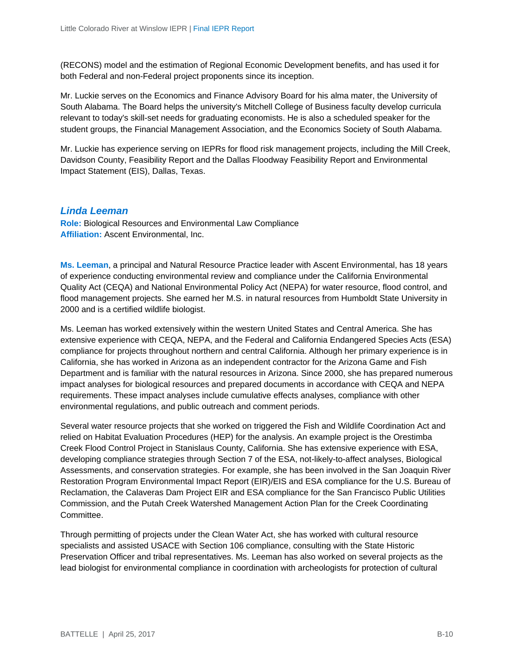(RECONS) model and the estimation of Regional Economic Development benefits, and has used it for both Federal and non-Federal project proponents since its inception.

Mr. Luckie serves on the Economics and Finance Advisory Board for his alma mater, the University of South Alabama. The Board helps the university's Mitchell College of Business faculty develop curricula relevant to today's skill-set needs for graduating economists. He is also a scheduled speaker for the student groups, the Financial Management Association, and the Economics Society of South Alabama.

Mr. Luckie has experience serving on IEPRs for flood risk management projects, including the Mill Creek, Davidson County, Feasibility Report and the Dallas Floodway Feasibility Report and Environmental Impact Statement (EIS), Dallas, Texas.

#### *Linda Leeman*

**Role:** Biological Resources and Environmental Law Compliance **Affiliation:** Ascent Environmental, Inc.

**Ms. Leeman**, a principal and Natural Resource Practice leader with Ascent Environmental, has 18 years of experience conducting environmental review and compliance under the California Environmental Quality Act (CEQA) and National Environmental Policy Act (NEPA) for water resource, flood control, and flood management projects. She earned her M.S. in natural resources from Humboldt State University in 2000 and is a certified wildlife biologist.

Ms. Leeman has worked extensively within the western United States and Central America. She has extensive experience with CEQA, NEPA, and the Federal and California Endangered Species Acts (ESA) compliance for projects throughout northern and central California. Although her primary experience is in California, she has worked in Arizona as an independent contractor for the Arizona Game and Fish Department and is familiar with the natural resources in Arizona. Since 2000, she has prepared numerous impact analyses for biological resources and prepared documents in accordance with CEQA and NEPA requirements. These impact analyses include cumulative effects analyses, compliance with other environmental regulations, and public outreach and comment periods.

Several water resource projects that she worked on triggered the Fish and Wildlife Coordination Act and relied on Habitat Evaluation Procedures (HEP) for the analysis. An example project is the Orestimba Creek Flood Control Project in Stanislaus County, California. She has extensive experience with ESA, developing compliance strategies through Section 7 of the ESA, not-likely-to-affect analyses, Biological Assessments, and conservation strategies. For example, she has been involved in the San Joaquin River Restoration Program Environmental Impact Report (EIR)/EIS and ESA compliance for the U.S. Bureau of Reclamation, the Calaveras Dam Project EIR and ESA compliance for the San Francisco Public Utilities Commission, and the Putah Creek Watershed Management Action Plan for the Creek Coordinating **Committee.** 

Through permitting of projects under the Clean Water Act, she has worked with cultural resource specialists and assisted USACE with Section 106 compliance, consulting with the State Historic Preservation Officer and tribal representatives. Ms. Leeman has also worked on several projects as the lead biologist for environmental compliance in coordination with archeologists for protection of cultural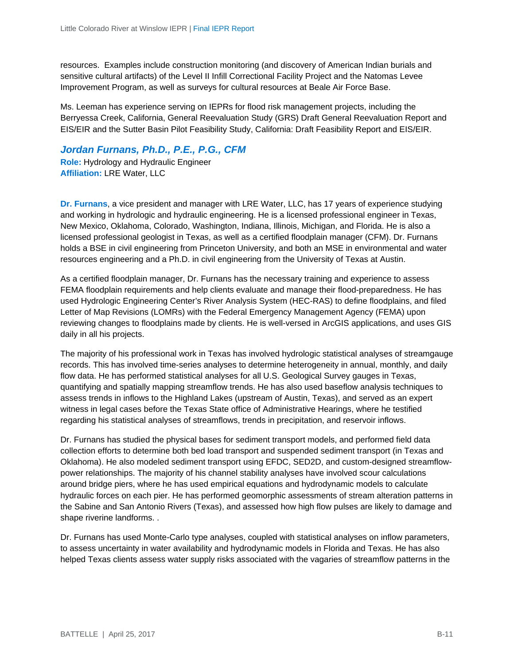resources. Examples include construction monitoring (and discovery of American Indian burials and sensitive cultural artifacts) of the Level II Infill Correctional Facility Project and the Natomas Levee Improvement Program, as well as surveys for cultural resources at Beale Air Force Base.

Ms. Leeman has experience serving on IEPRs for flood risk management projects, including the Berryessa Creek, California, General Reevaluation Study (GRS) Draft General Reevaluation Report and EIS/EIR and the Sutter Basin Pilot Feasibility Study, California: Draft Feasibility Report and EIS/EIR.

# *Jordan Furnans, Ph.D., P.E., P.G., CFM*

**Role:** Hydrology and Hydraulic Engineer **Affiliation:** LRE Water, LLC

**Dr. Furnans**, a vice president and manager with LRE Water, LLC, has 17 years of experience studying and working in hydrologic and hydraulic engineering. He is a licensed professional engineer in Texas, New Mexico, Oklahoma, Colorado, Washington, Indiana, Illinois, Michigan, and Florida. He is also a licensed professional geologist in Texas, as well as a certified floodplain manager (CFM). Dr. Furnans holds a BSE in civil engineering from Princeton University, and both an MSE in environmental and water resources engineering and a Ph.D. in civil engineering from the University of Texas at Austin.

As a certified floodplain manager, Dr. Furnans has the necessary training and experience to assess FEMA floodplain requirements and help clients evaluate and manage their flood-preparedness. He has used Hydrologic Engineering Center's River Analysis System (HEC-RAS) to define floodplains, and filed Letter of Map Revisions (LOMRs) with the Federal Emergency Management Agency (FEMA) upon reviewing changes to floodplains made by clients. He is well-versed in ArcGIS applications, and uses GIS daily in all his projects.

The majority of his professional work in Texas has involved hydrologic statistical analyses of streamgauge records. This has involved time-series analyses to determine heterogeneity in annual, monthly, and daily flow data. He has performed statistical analyses for all U.S. Geological Survey gauges in Texas, quantifying and spatially mapping streamflow trends. He has also used baseflow analysis techniques to assess trends in inflows to the Highland Lakes (upstream of Austin, Texas), and served as an expert witness in legal cases before the Texas State office of Administrative Hearings, where he testified regarding his statistical analyses of streamflows, trends in precipitation, and reservoir inflows.

Dr. Furnans has studied the physical bases for sediment transport models, and performed field data collection efforts to determine both bed load transport and suspended sediment transport (in Texas and Oklahoma). He also modeled sediment transport using EFDC, SED2D, and custom-designed streamflowpower relationships. The majority of his channel stability analyses have involved scour calculations around bridge piers, where he has used empirical equations and hydrodynamic models to calculate hydraulic forces on each pier. He has performed geomorphic assessments of stream alteration patterns in the Sabine and San Antonio Rivers (Texas), and assessed how high flow pulses are likely to damage and shape riverine landforms. .

Dr. Furnans has used Monte-Carlo type analyses, coupled with statistical analyses on inflow parameters, to assess uncertainty in water availability and hydrodynamic models in Florida and Texas. He has also helped Texas clients assess water supply risks associated with the vagaries of streamflow patterns in the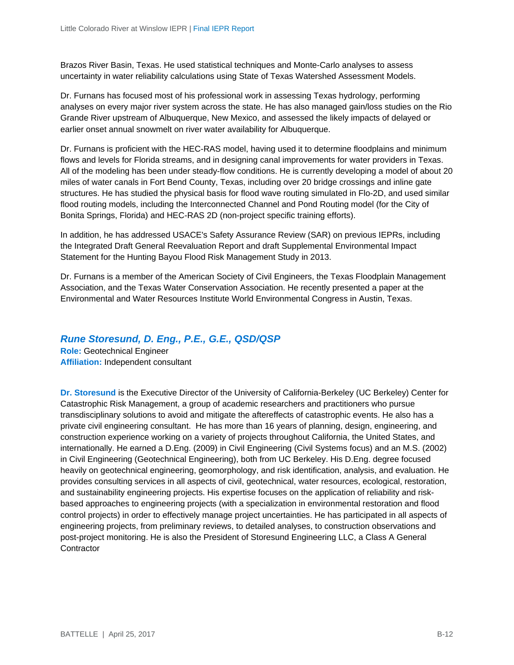Brazos River Basin, Texas. He used statistical techniques and Monte-Carlo analyses to assess uncertainty in water reliability calculations using State of Texas Watershed Assessment Models.

Dr. Furnans has focused most of his professional work in assessing Texas hydrology, performing analyses on every major river system across the state. He has also managed gain/loss studies on the Rio Grande River upstream of Albuquerque, New Mexico, and assessed the likely impacts of delayed or earlier onset annual snowmelt on river water availability for Albuquerque.

Dr. Furnans is proficient with the HEC-RAS model, having used it to determine floodplains and minimum flows and levels for Florida streams, and in designing canal improvements for water providers in Texas. All of the modeling has been under steady-flow conditions. He is currently developing a model of about 20 miles of water canals in Fort Bend County, Texas, including over 20 bridge crossings and inline gate structures. He has studied the physical basis for flood wave routing simulated in Flo-2D, and used similar flood routing models, including the Interconnected Channel and Pond Routing model (for the City of Bonita Springs, Florida) and HEC-RAS 2D (non-project specific training efforts).

In addition, he has addressed USACE's Safety Assurance Review (SAR) on previous IEPRs, including the Integrated Draft General Reevaluation Report and draft Supplemental Environmental Impact Statement for the Hunting Bayou Flood Risk Management Study in 2013.

Dr. Furnans is a member of the American Society of Civil Engineers, the Texas Floodplain Management Association, and the Texas Water Conservation Association. He recently presented a paper at the Environmental and Water Resources Institute World Environmental Congress in Austin, Texas.

# *Rune Storesund, D. Eng., P.E., G.E., QSD/QSP*

**Role:** Geotechnical Engineer **Affiliation:** Independent consultant

**Dr. Storesund** is the Executive Director of the University of California-Berkeley (UC Berkeley) Center for Catastrophic Risk Management, a group of academic researchers and practitioners who pursue transdisciplinary solutions to avoid and mitigate the aftereffects of catastrophic events. He also has a private civil engineering consultant. He has more than 16 years of planning, design, engineering, and construction experience working on a variety of projects throughout California, the United States, and internationally. He earned a D.Eng. (2009) in Civil Engineering (Civil Systems focus) and an M.S. (2002) in Civil Engineering (Geotechnical Engineering), both from UC Berkeley. His D.Eng. degree focused heavily on geotechnical engineering, geomorphology, and risk identification, analysis, and evaluation. He provides consulting services in all aspects of civil, geotechnical, water resources, ecological, restoration, and sustainability engineering projects. His expertise focuses on the application of reliability and riskbased approaches to engineering projects (with a specialization in environmental restoration and flood control projects) in order to effectively manage project uncertainties. He has participated in all aspects of engineering projects, from preliminary reviews, to detailed analyses, to construction observations and post-project monitoring. He is also the President of Storesund Engineering LLC, a Class A General **Contractor**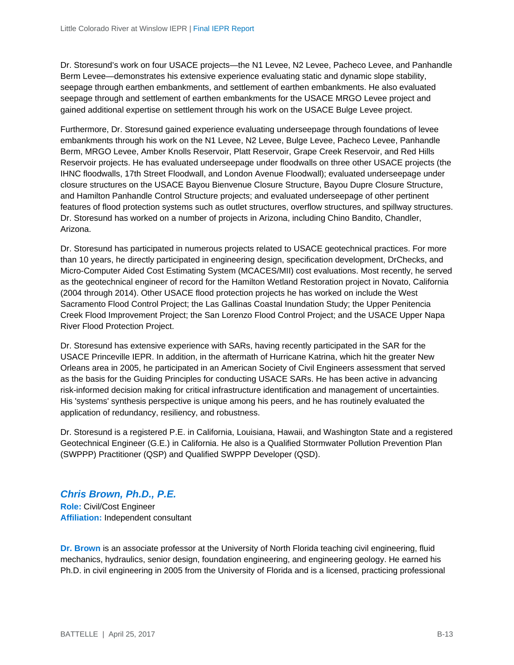Dr. Storesund's work on four USACE projects—the N1 Levee, N2 Levee, Pacheco Levee, and Panhandle Berm Levee—demonstrates his extensive experience evaluating static and dynamic slope stability, seepage through earthen embankments, and settlement of earthen embankments. He also evaluated seepage through and settlement of earthen embankments for the USACE MRGO Levee project and gained additional expertise on settlement through his work on the USACE Bulge Levee project.

Furthermore, Dr. Storesund gained experience evaluating underseepage through foundations of levee embankments through his work on the N1 Levee, N2 Levee, Bulge Levee, Pacheco Levee, Panhandle Berm, MRGO Levee, Amber Knolls Reservoir, Platt Reservoir, Grape Creek Reservoir, and Red Hills Reservoir projects. He has evaluated underseepage under floodwalls on three other USACE projects (the IHNC floodwalls, 17th Street Floodwall, and London Avenue Floodwall); evaluated underseepage under closure structures on the USACE Bayou Bienvenue Closure Structure, Bayou Dupre Closure Structure, and Hamilton Panhandle Control Structure projects; and evaluated underseepage of other pertinent features of flood protection systems such as outlet structures, overflow structures, and spillway structures. Dr. Storesund has worked on a number of projects in Arizona, including Chino Bandito, Chandler, Arizona.

Dr. Storesund has participated in numerous projects related to USACE geotechnical practices. For more than 10 years, he directly participated in engineering design, specification development, DrChecks, and Micro-Computer Aided Cost Estimating System (MCACES/MII) cost evaluations. Most recently, he served as the geotechnical engineer of record for the Hamilton Wetland Restoration project in Novato, California (2004 through 2014). Other USACE flood protection projects he has worked on include the West Sacramento Flood Control Project; the Las Gallinas Coastal Inundation Study; the Upper Penitencia Creek Flood Improvement Project; the San Lorenzo Flood Control Project; and the USACE Upper Napa River Flood Protection Project.

Dr. Storesund has extensive experience with SARs, having recently participated in the SAR for the USACE Princeville IEPR. In addition, in the aftermath of Hurricane Katrina, which hit the greater New Orleans area in 2005, he participated in an American Society of Civil Engineers assessment that served as the basis for the Guiding Principles for conducting USACE SARs. He has been active in advancing risk-informed decision making for critical infrastructure identification and management of uncertainties. His 'systems' synthesis perspective is unique among his peers, and he has routinely evaluated the application of redundancy, resiliency, and robustness.

Dr. Storesund is a registered P.E. in California, Louisiana, Hawaii, and Washington State and a registered Geotechnical Engineer (G.E.) in California. He also is a Qualified Stormwater Pollution Prevention Plan (SWPPP) Practitioner (QSP) and Qualified SWPPP Developer (QSD).

*Chris Brown, Ph.D., P.E.*  **Role:** Civil/Cost Engineer **Affiliation:** Independent consultant

**Dr. Brown** is an associate professor at the University of North Florida teaching civil engineering, fluid mechanics, hydraulics, senior design, foundation engineering, and engineering geology. He earned his Ph.D. in civil engineering in 2005 from the University of Florida and is a licensed, practicing professional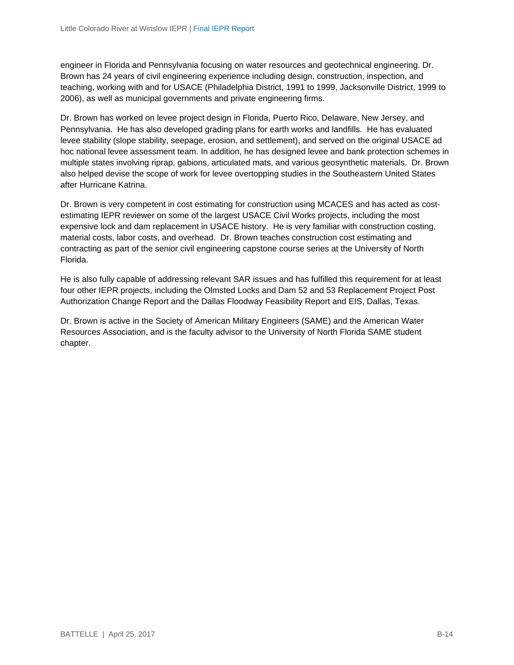engineer in Florida and Pennsylvania focusing on water resources and geotechnical engineering. Dr. Brown has 24 years of civil engineering experience including design, construction, inspection, and teaching, working with and for USACE (Philadelphia District, 1991 to 1999, Jacksonville District, 1999 to 2006), as well as municipal governments and private engineering firms.

Dr. Brown has worked on levee project design in Florida, Puerto Rico, Delaware, New Jersey, and Pennsylvania. He has also developed grading plans for earth works and landfills. He has evaluated levee stability (slope stability, seepage, erosion, and settlement), and served on the original USACE ad hoc national levee assessment team. In addition, he has designed levee and bank protection schemes in multiple states involving riprap, gabions, articulated mats, and various geosynthetic materials. Dr. Brown also helped devise the scope of work for levee overtopping studies in the Southeastern United States after Hurricane Katrina.

Dr. Brown is very competent in cost estimating for construction using MCACES and has acted as costestimating IEPR reviewer on some of the largest USACE Civil Works projects, including the most expensive lock and dam replacement in USACE history. He is very familiar with construction costing, material costs, labor costs, and overhead. Dr. Brown teaches construction cost estimating and contracting as part of the senior civil engineering capstone course series at the University of North Florida.

He is also fully capable of addressing relevant SAR issues and has fulfilled this requirement for at least four other IEPR projects, including the Olmsted Locks and Dam 52 and 53 Replacement Project Post Authorization Change Report and the Dallas Floodway Feasibility Report and EIS, Dallas, Texas.

Dr. Brown is active in the Society of American Military Engineers (SAME) and the American Water Resources Association, and is the faculty advisor to the University of North Florida SAME student chapter.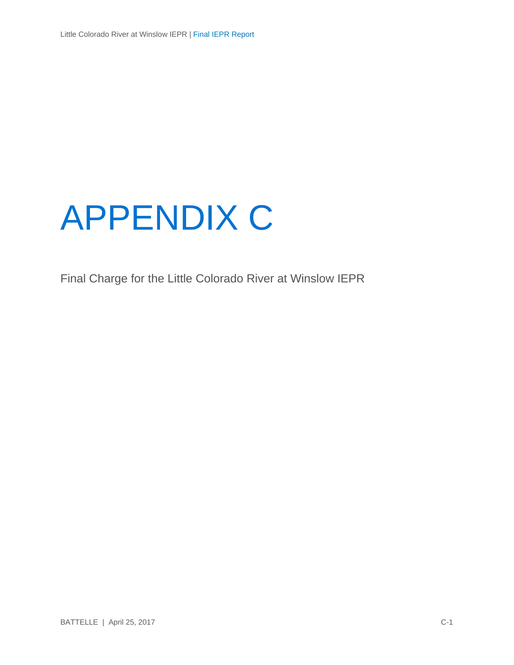# APPENDIX C

Final Charge for the Little Colorado River at Winslow IEPR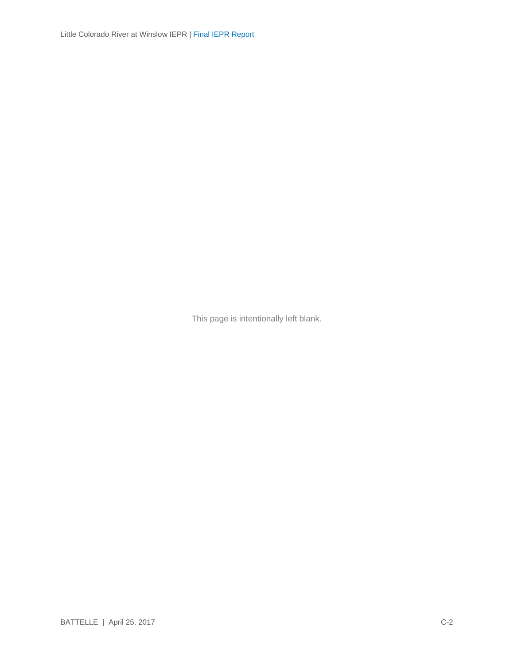This page is intentionally left blank.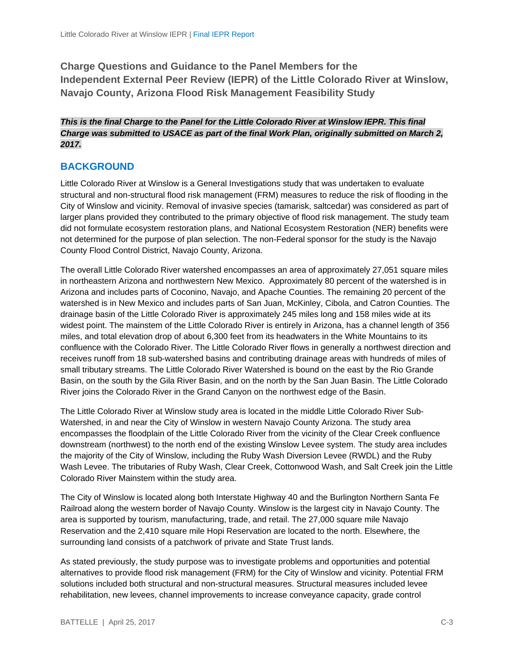**Charge Questions and Guidance to the Panel Members for the Independent External Peer Review (IEPR) of the Little Colorado River at Winslow, Navajo County, Arizona Flood Risk Management Feasibility Study** 

*This is the final Charge to the Panel for the Little Colorado River at Winslow IEPR. This final Charge was submitted to USACE as part of the final Work Plan, originally submitted on March 2, 2017.* 

# **BACKGROUND**

Little Colorado River at Winslow is a General Investigations study that was undertaken to evaluate structural and non-structural flood risk management (FRM) measures to reduce the risk of flooding in the City of Winslow and vicinity. Removal of invasive species (tamarisk, saltcedar) was considered as part of larger plans provided they contributed to the primary objective of flood risk management. The study team did not formulate ecosystem restoration plans, and National Ecosystem Restoration (NER) benefits were not determined for the purpose of plan selection. The non-Federal sponsor for the study is the Navajo County Flood Control District, Navajo County, Arizona.

The overall Little Colorado River watershed encompasses an area of approximately 27,051 square miles in northeastern Arizona and northwestern New Mexico. Approximately 80 percent of the watershed is in Arizona and includes parts of Coconino, Navajo, and Apache Counties. The remaining 20 percent of the watershed is in New Mexico and includes parts of San Juan, McKinley, Cibola, and Catron Counties. The drainage basin of the Little Colorado River is approximately 245 miles long and 158 miles wide at its widest point. The mainstem of the Little Colorado River is entirely in Arizona, has a channel length of 356 miles, and total elevation drop of about 6,300 feet from its headwaters in the White Mountains to its confluence with the Colorado River. The Little Colorado River flows in generally a northwest direction and receives runoff from 18 sub-watershed basins and contributing drainage areas with hundreds of miles of small tributary streams. The Little Colorado River Watershed is bound on the east by the Rio Grande Basin, on the south by the Gila River Basin, and on the north by the San Juan Basin. The Little Colorado River joins the Colorado River in the Grand Canyon on the northwest edge of the Basin.

The Little Colorado River at Winslow study area is located in the middle Little Colorado River Sub-Watershed, in and near the City of Winslow in western Navajo County Arizona. The study area encompasses the floodplain of the Little Colorado River from the vicinity of the Clear Creek confluence downstream (northwest) to the north end of the existing Winslow Levee system. The study area includes the majority of the City of Winslow, including the Ruby Wash Diversion Levee (RWDL) and the Ruby Wash Levee. The tributaries of Ruby Wash, Clear Creek, Cottonwood Wash, and Salt Creek join the Little Colorado River Mainstem within the study area.

The City of Winslow is located along both Interstate Highway 40 and the Burlington Northern Santa Fe Railroad along the western border of Navajo County. Winslow is the largest city in Navajo County. The area is supported by tourism, manufacturing, trade, and retail. The 27,000 square mile Navajo Reservation and the 2,410 square mile Hopi Reservation are located to the north. Elsewhere, the surrounding land consists of a patchwork of private and State Trust lands.

As stated previously, the study purpose was to investigate problems and opportunities and potential alternatives to provide flood risk management (FRM) for the City of Winslow and vicinity. Potential FRM solutions included both structural and non-structural measures. Structural measures included levee rehabilitation, new levees, channel improvements to increase conveyance capacity, grade control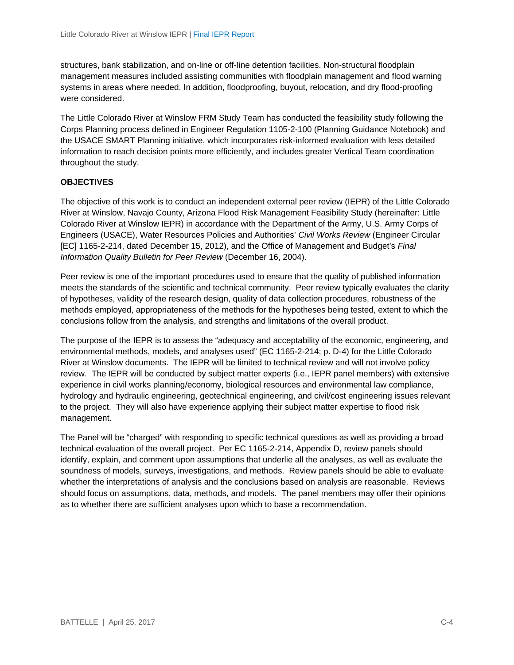structures, bank stabilization, and on-line or off-line detention facilities. Non-structural floodplain management measures included assisting communities with floodplain management and flood warning systems in areas where needed. In addition, floodproofing, buyout, relocation, and dry flood-proofing were considered.

The Little Colorado River at Winslow FRM Study Team has conducted the feasibility study following the Corps Planning process defined in Engineer Regulation 1105-2-100 (Planning Guidance Notebook) and the USACE SMART Planning initiative, which incorporates risk-informed evaluation with less detailed information to reach decision points more efficiently, and includes greater Vertical Team coordination throughout the study.

#### **OBJECTIVES**

The objective of this work is to conduct an independent external peer review (IEPR) of the Little Colorado River at Winslow, Navajo County, Arizona Flood Risk Management Feasibility Study (hereinafter: Little Colorado River at Winslow IEPR) in accordance with the Department of the Army, U.S. Army Corps of Engineers (USACE), Water Resources Policies and Authorities' *Civil Works Review* (Engineer Circular [EC] 1165-2-214, dated December 15, 2012), and the Office of Management and Budget's *Final Information Quality Bulletin for Peer Review* (December 16, 2004).

Peer review is one of the important procedures used to ensure that the quality of published information meets the standards of the scientific and technical community. Peer review typically evaluates the clarity of hypotheses, validity of the research design, quality of data collection procedures, robustness of the methods employed, appropriateness of the methods for the hypotheses being tested, extent to which the conclusions follow from the analysis, and strengths and limitations of the overall product.

The purpose of the IEPR is to assess the "adequacy and acceptability of the economic, engineering, and environmental methods, models, and analyses used" (EC 1165-2-214; p. D-4) for the Little Colorado River at Winslow documents. The IEPR will be limited to technical review and will not involve policy review. The IEPR will be conducted by subject matter experts (i.e., IEPR panel members) with extensive experience in civil works planning/economy, biological resources and environmental law compliance, hydrology and hydraulic engineering, geotechnical engineering, and civil/cost engineering issues relevant to the project. They will also have experience applying their subject matter expertise to flood risk management.

The Panel will be "charged" with responding to specific technical questions as well as providing a broad technical evaluation of the overall project. Per EC 1165-2-214, Appendix D, review panels should identify, explain, and comment upon assumptions that underlie all the analyses, as well as evaluate the soundness of models, surveys, investigations, and methods. Review panels should be able to evaluate whether the interpretations of analysis and the conclusions based on analysis are reasonable. Reviews should focus on assumptions, data, methods, and models. The panel members may offer their opinions as to whether there are sufficient analyses upon which to base a recommendation.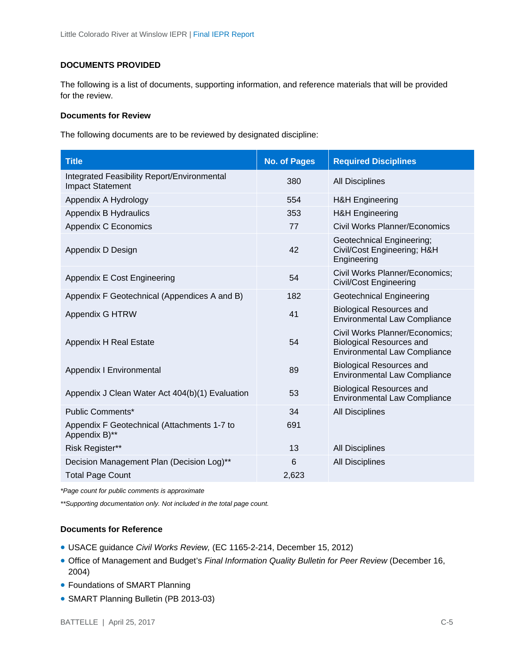#### **DOCUMENTS PROVIDED**

The following is a list of documents, supporting information, and reference materials that will be provided for the review.

#### **Documents for Review**

The following documents are to be reviewed by designated discipline:

| <b>Title</b>                                                           | <b>No. of Pages</b> | <b>Required Disciplines</b>                                                                              |
|------------------------------------------------------------------------|---------------------|----------------------------------------------------------------------------------------------------------|
| Integrated Feasibility Report/Environmental<br><b>Impact Statement</b> | 380                 | <b>All Disciplines</b>                                                                                   |
| Appendix A Hydrology                                                   | 554                 | <b>H&amp;H Engineering</b>                                                                               |
| Appendix B Hydraulics                                                  | 353                 | <b>H&amp;H Engineering</b>                                                                               |
| Appendix C Economics                                                   | 77                  | <b>Civil Works Planner/Economics</b>                                                                     |
| Appendix D Design                                                      | 42                  | Geotechnical Engineering;<br>Civil/Cost Engineering; H&H<br>Engineering                                  |
| Appendix E Cost Engineering                                            | 54                  | Civil Works Planner/Economics;<br><b>Civil/Cost Engineering</b>                                          |
| Appendix F Geotechnical (Appendices A and B)                           | 182                 | <b>Geotechnical Engineering</b>                                                                          |
| Appendix G HTRW                                                        | 41                  | <b>Biological Resources and</b><br><b>Environmental Law Compliance</b>                                   |
| Appendix H Real Estate                                                 | 54                  | Civil Works Planner/Economics;<br><b>Biological Resources and</b><br><b>Environmental Law Compliance</b> |
| Appendix I Environmental                                               | 89                  | <b>Biological Resources and</b><br><b>Environmental Law Compliance</b>                                   |
| Appendix J Clean Water Act 404(b)(1) Evaluation                        | 53                  | <b>Biological Resources and</b><br><b>Environmental Law Compliance</b>                                   |
| <b>Public Comments*</b>                                                | 34                  | <b>All Disciplines</b>                                                                                   |
| Appendix F Geotechnical (Attachments 1-7 to<br>Appendix B)**           | 691                 |                                                                                                          |
| Risk Register**                                                        | 13                  | <b>All Disciplines</b>                                                                                   |
| Decision Management Plan (Decision Log)**                              | 6                   | <b>All Disciplines</b>                                                                                   |
| <b>Total Page Count</b>                                                | 2,623               |                                                                                                          |

*\*Page count for public comments is approximate* 

*\*\*Supporting documentation only. Not included in the total page count.* 

#### **Documents for Reference**

- USACE guidance *Civil Works Review,* (EC 1165-2-214, December 15, 2012)
- Office of Management and Budget's *Final Information Quality Bulletin for Peer Review* (December 16, 2004)
- Foundations of SMART Planning
- SMART Planning Bulletin (PB 2013-03)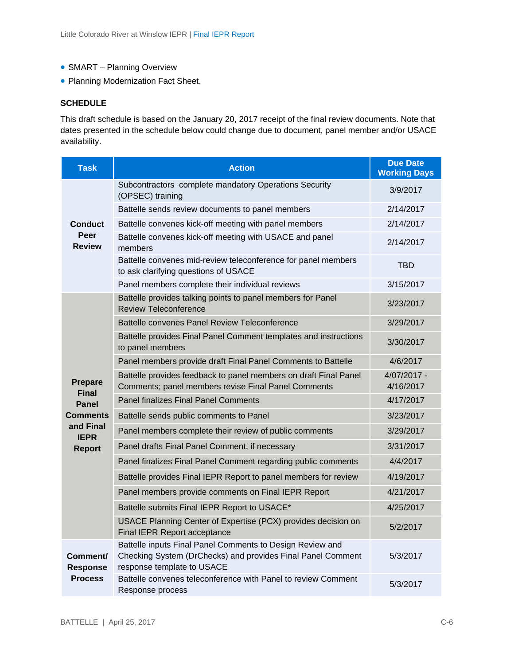- SMART Planning Overview
- Planning Modernization Fact Sheet.

#### **SCHEDULE**

This draft schedule is based on the January 20, 2017 receipt of the final review documents. Note that dates presented in the schedule below could change due to document, panel member and/or USACE availability.

| <b>Task</b>                                                                            | <b>Action</b>                                                                                                                                          | <b>Due Date</b><br><b>Working Days</b> |
|----------------------------------------------------------------------------------------|--------------------------------------------------------------------------------------------------------------------------------------------------------|----------------------------------------|
| Conduct<br>Peer<br><b>Review</b>                                                       | Subcontractors complete mandatory Operations Security<br>(OPSEC) training                                                                              | 3/9/2017                               |
|                                                                                        | Battelle sends review documents to panel members                                                                                                       | 2/14/2017                              |
|                                                                                        | Battelle convenes kick-off meeting with panel members                                                                                                  | 2/14/2017                              |
|                                                                                        | Battelle convenes kick-off meeting with USACE and panel<br>members                                                                                     | 2/14/2017                              |
|                                                                                        | Battelle convenes mid-review teleconference for panel members<br>to ask clarifying questions of USACE                                                  | <b>TBD</b>                             |
|                                                                                        | Panel members complete their individual reviews                                                                                                        | 3/15/2017                              |
| Prepare<br><b>Final</b><br><b>Panel</b><br><b>Comments</b><br>and Final<br><b>IEPR</b> | Battelle provides talking points to panel members for Panel<br><b>Review Teleconference</b>                                                            | 3/23/2017                              |
|                                                                                        | Battelle convenes Panel Review Teleconference                                                                                                          | 3/29/2017                              |
|                                                                                        | Battelle provides Final Panel Comment templates and instructions<br>to panel members                                                                   | 3/30/2017                              |
|                                                                                        | Panel members provide draft Final Panel Comments to Battelle                                                                                           | 4/6/2017                               |
|                                                                                        | Battelle provides feedback to panel members on draft Final Panel<br>Comments; panel members revise Final Panel Comments                                | 4/07/2017 -<br>4/16/2017               |
|                                                                                        | <b>Panel finalizes Final Panel Comments</b>                                                                                                            | 4/17/2017                              |
|                                                                                        | Battelle sends public comments to Panel                                                                                                                | 3/23/2017                              |
|                                                                                        | Panel members complete their review of public comments                                                                                                 | 3/29/2017                              |
| <b>Report</b>                                                                          | Panel drafts Final Panel Comment, if necessary                                                                                                         | 3/31/2017                              |
|                                                                                        | Panel finalizes Final Panel Comment regarding public comments                                                                                          | 4/4/2017                               |
|                                                                                        | Battelle provides Final IEPR Report to panel members for review                                                                                        | 4/19/2017                              |
|                                                                                        | Panel members provide comments on Final IEPR Report                                                                                                    | 4/21/2017                              |
|                                                                                        | Battelle submits Final IEPR Report to USACE*                                                                                                           | 4/25/2017                              |
|                                                                                        | USACE Planning Center of Expertise (PCX) provides decision on<br>Final IEPR Report acceptance                                                          | 5/2/2017                               |
| Comment/<br><b>Response</b><br><b>Process</b>                                          | Battelle inputs Final Panel Comments to Design Review and<br>Checking System (DrChecks) and provides Final Panel Comment<br>response template to USACE | 5/3/2017                               |
|                                                                                        | Battelle convenes teleconference with Panel to review Comment<br>Response process                                                                      | 5/3/2017                               |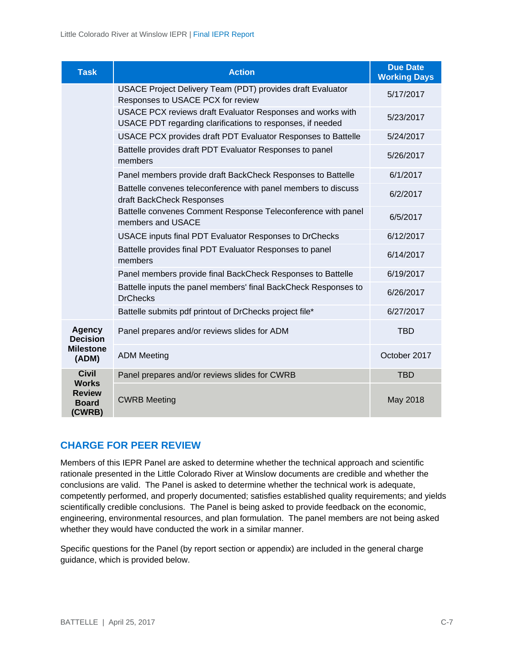| <b>Task</b>                                             | <b>Action</b>                                                                                                            | <b>Due Date</b><br><b>Working Days</b> |
|---------------------------------------------------------|--------------------------------------------------------------------------------------------------------------------------|----------------------------------------|
|                                                         | USACE Project Delivery Team (PDT) provides draft Evaluator<br>Responses to USACE PCX for review                          | 5/17/2017                              |
|                                                         | USACE PCX reviews draft Evaluator Responses and works with<br>USACE PDT regarding clarifications to responses, if needed | 5/23/2017                              |
|                                                         | USACE PCX provides draft PDT Evaluator Responses to Battelle                                                             | 5/24/2017                              |
|                                                         | Battelle provides draft PDT Evaluator Responses to panel<br>members                                                      | 5/26/2017                              |
|                                                         | Panel members provide draft BackCheck Responses to Battelle                                                              | 6/1/2017                               |
|                                                         | Battelle convenes teleconference with panel members to discuss<br>draft BackCheck Responses                              | 6/2/2017                               |
|                                                         | Battelle convenes Comment Response Teleconference with panel<br>members and USACE                                        | 6/5/2017                               |
|                                                         | USACE inputs final PDT Evaluator Responses to DrChecks                                                                   |                                        |
|                                                         | Battelle provides final PDT Evaluator Responses to panel<br>members                                                      | 6/14/2017                              |
|                                                         | Panel members provide final BackCheck Responses to Battelle                                                              | 6/19/2017                              |
|                                                         | Battelle inputs the panel members' final BackCheck Responses to<br><b>DrChecks</b>                                       | 6/26/2017                              |
|                                                         | Battelle submits pdf printout of DrChecks project file*                                                                  | 6/27/2017                              |
| Agency<br><b>Decision</b><br><b>Milestone</b><br>(ADM)  | Panel prepares and/or reviews slides for ADM                                                                             | <b>TBD</b>                             |
|                                                         | <b>ADM Meeting</b>                                                                                                       | October 2017                           |
| <b>Civil</b>                                            | Panel prepares and/or reviews slides for CWRB                                                                            | <b>TBD</b>                             |
| <b>Works</b><br><b>Review</b><br><b>Board</b><br>(CWRB) | <b>CWRB Meeting</b>                                                                                                      | May 2018                               |

# **CHARGE FOR PEER REVIEW**

Members of this IEPR Panel are asked to determine whether the technical approach and scientific rationale presented in the Little Colorado River at Winslow documents are credible and whether the conclusions are valid. The Panel is asked to determine whether the technical work is adequate, competently performed, and properly documented; satisfies established quality requirements; and yields scientifically credible conclusions. The Panel is being asked to provide feedback on the economic, engineering, environmental resources, and plan formulation. The panel members are not being asked whether they would have conducted the work in a similar manner.

Specific questions for the Panel (by report section or appendix) are included in the general charge guidance, which is provided below.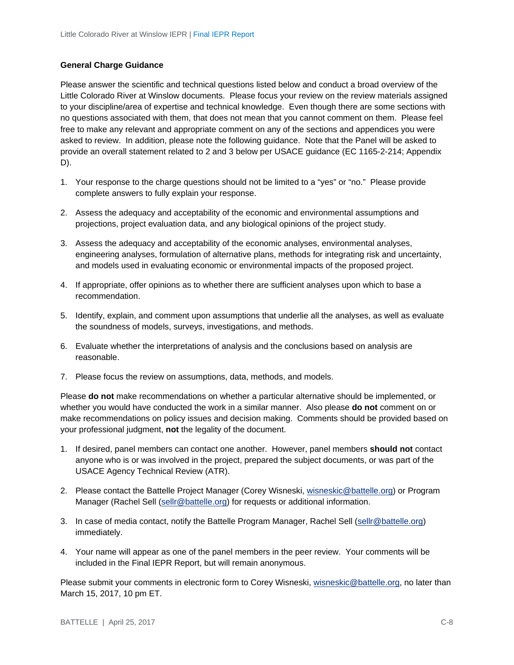#### **General Charge Guidance**

Please answer the scientific and technical questions listed below and conduct a broad overview of the Little Colorado River at Winslow documents. Please focus your review on the review materials assigned to your discipline/area of expertise and technical knowledge. Even though there are some sections with no questions associated with them, that does not mean that you cannot comment on them. Please feel free to make any relevant and appropriate comment on any of the sections and appendices you were asked to review. In addition, please note the following guidance. Note that the Panel will be asked to provide an overall statement related to 2 and 3 below per USACE guidance (EC 1165-2-214; Appendix D).

- 1. Your response to the charge questions should not be limited to a "yes" or "no." Please provide complete answers to fully explain your response.
- 2. Assess the adequacy and acceptability of the economic and environmental assumptions and projections, project evaluation data, and any biological opinions of the project study.
- 3. Assess the adequacy and acceptability of the economic analyses, environmental analyses, engineering analyses, formulation of alternative plans, methods for integrating risk and uncertainty, and models used in evaluating economic or environmental impacts of the proposed project.
- 4. If appropriate, offer opinions as to whether there are sufficient analyses upon which to base a recommendation.
- 5. Identify, explain, and comment upon assumptions that underlie all the analyses, as well as evaluate the soundness of models, surveys, investigations, and methods.
- 6. Evaluate whether the interpretations of analysis and the conclusions based on analysis are reasonable.
- 7. Please focus the review on assumptions, data, methods, and models.

Please **do not** make recommendations on whether a particular alternative should be implemented, or whether you would have conducted the work in a similar manner. Also please **do not** comment on or make recommendations on policy issues and decision making. Comments should be provided based on your professional judgment, **not** the legality of the document.

- 1. If desired, panel members can contact one another. However, panel members **should not** contact anyone who is or was involved in the project, prepared the subject documents, or was part of the USACE Agency Technical Review (ATR).
- 2. Please contact the Battelle Project Manager (Corey Wisneski, wisneskic@battelle.org) or Program Manager (Rachel Sell (sellr@battelle.org) for requests or additional information.
- 3. In case of media contact, notify the Battelle Program Manager, Rachel Sell (sellr@battelle.org) immediately.
- 4. Your name will appear as one of the panel members in the peer review. Your comments will be included in the Final IEPR Report, but will remain anonymous.

Please submit your comments in electronic form to Corey Wisneski, wisneskic@battelle.org, no later than March 15, 2017, 10 pm ET.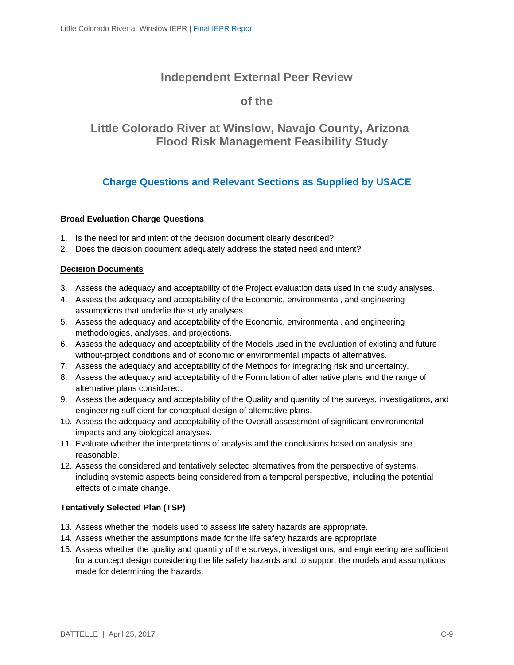# **Independent External Peer Review**

# **of the**

# **Little Colorado River at Winslow, Navajo County, Arizona Flood Risk Management Feasibility Study**

# **Charge Questions and Relevant Sections as Supplied by USACE**

#### **Broad Evaluation Charge Questions**

- 1. Is the need for and intent of the decision document clearly described?
- 2. Does the decision document adequately address the stated need and intent?

#### **Decision Documents**

- 3. Assess the adequacy and acceptability of the Project evaluation data used in the study analyses.
- 4. Assess the adequacy and acceptability of the Economic, environmental, and engineering assumptions that underlie the study analyses.
- 5. Assess the adequacy and acceptability of the Economic, environmental, and engineering methodologies, analyses, and projections.
- 6. Assess the adequacy and acceptability of the Models used in the evaluation of existing and future without-project conditions and of economic or environmental impacts of alternatives.
- 7. Assess the adequacy and acceptability of the Methods for integrating risk and uncertainty.
- 8. Assess the adequacy and acceptability of the Formulation of alternative plans and the range of alternative plans considered.
- 9. Assess the adequacy and acceptability of the Quality and quantity of the surveys, investigations, and engineering sufficient for conceptual design of alternative plans.
- 10. Assess the adequacy and acceptability of the Overall assessment of significant environmental impacts and any biological analyses.
- 11. Evaluate whether the interpretations of analysis and the conclusions based on analysis are reasonable.
- 12. Assess the considered and tentatively selected alternatives from the perspective of systems, including systemic aspects being considered from a temporal perspective, including the potential effects of climate change.

### **Tentatively Selected Plan (TSP)**

- 13. Assess whether the models used to assess life safety hazards are appropriate.
- 14. Assess whether the assumptions made for the life safety hazards are appropriate.
- 15. Assess whether the quality and quantity of the surveys, investigations, and engineering are sufficient for a concept design considering the life safety hazards and to support the models and assumptions made for determining the hazards.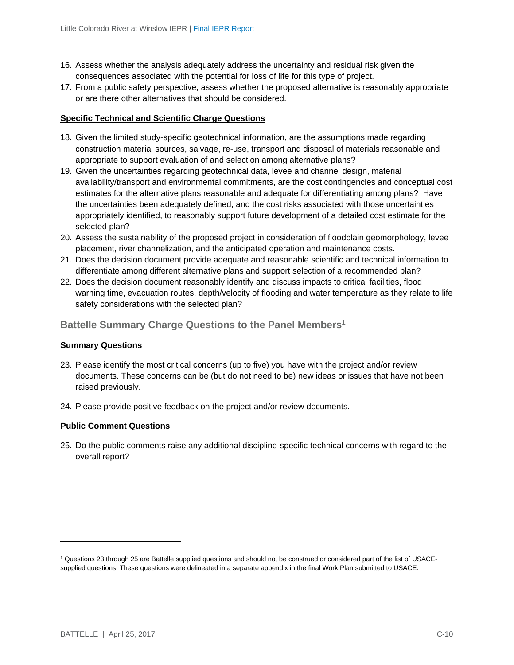- 16. Assess whether the analysis adequately address the uncertainty and residual risk given the consequences associated with the potential for loss of life for this type of project.
- 17. From a public safety perspective, assess whether the proposed alternative is reasonably appropriate or are there other alternatives that should be considered.

#### **Specific Technical and Scientific Charge Questions**

- 18. Given the limited study-specific geotechnical information, are the assumptions made regarding construction material sources, salvage, re-use, transport and disposal of materials reasonable and appropriate to support evaluation of and selection among alternative plans?
- 19. Given the uncertainties regarding geotechnical data, levee and channel design, material availability/transport and environmental commitments, are the cost contingencies and conceptual cost estimates for the alternative plans reasonable and adequate for differentiating among plans? Have the uncertainties been adequately defined, and the cost risks associated with those uncertainties appropriately identified, to reasonably support future development of a detailed cost estimate for the selected plan?
- 20. Assess the sustainability of the proposed project in consideration of floodplain geomorphology, levee placement, river channelization, and the anticipated operation and maintenance costs.
- 21. Does the decision document provide adequate and reasonable scientific and technical information to differentiate among different alternative plans and support selection of a recommended plan?
- 22. Does the decision document reasonably identify and discuss impacts to critical facilities, flood warning time, evacuation routes, depth/velocity of flooding and water temperature as they relate to life safety considerations with the selected plan?

#### **Battelle Summary Charge Questions to the Panel Members1**

#### **Summary Questions**

- 23. Please identify the most critical concerns (up to five) you have with the project and/or review documents. These concerns can be (but do not need to be) new ideas or issues that have not been raised previously.
- 24. Please provide positive feedback on the project and/or review documents.

#### **Public Comment Questions**

25. Do the public comments raise any additional discipline-specific technical concerns with regard to the overall report?

l

<sup>1</sup> Questions 23 through 25 are Battelle supplied questions and should not be construed or considered part of the list of USACEsupplied questions. These questions were delineated in a separate appendix in the final Work Plan submitted to USACE.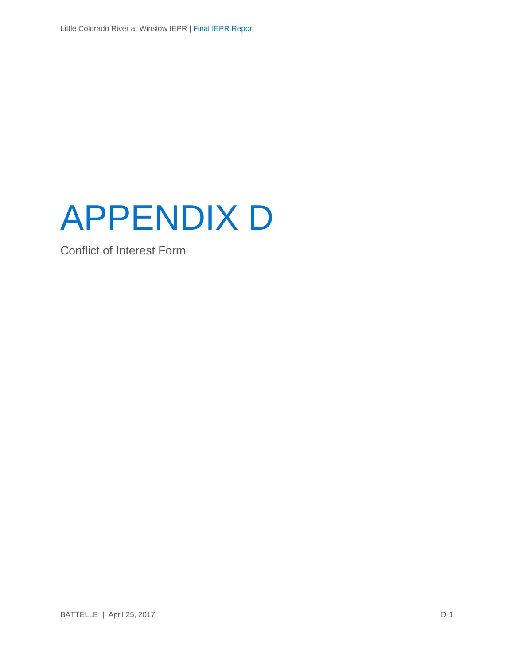# APPENDIX D

Conflict of Interest Form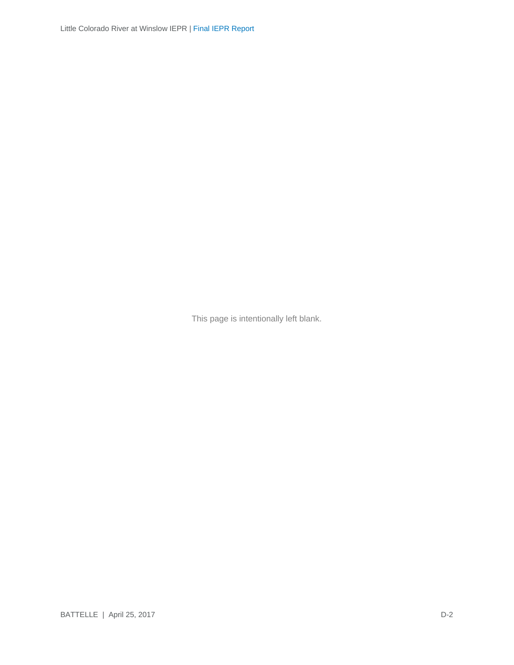This page is intentionally left blank.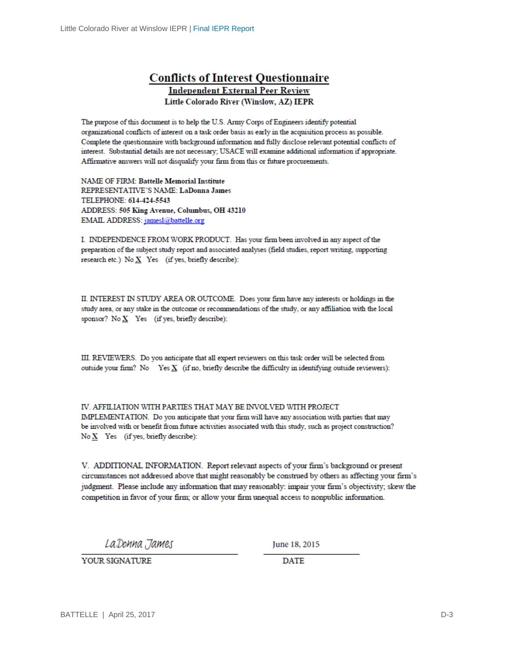# **Conflicts of Interest Questionnaire Independent External Peer Review** Little Colorado River (Winslow, AZ) IEPR

The purpose of this document is to help the U.S. Army Corps of Engineers identify potential organizational conflicts of interest on a task order basis as early in the acquisition process as possible. Complete the questionnaire with background information and fully disclose relevant potential conflicts of interest. Substantial details are not necessary; USACE will examine additional information if appropriate. Affirmative answers will not disqualify your firm from this or future procurements.

**NAME OF FIRM: Battelle Memorial Institute** REPRESENTATIVE'S NAME: LaDonna James TELEPHONE: 614-424-5543 ADDRESS: 505 King Avenue, Columbus, OH 43210 EMAIL ADDRESS: james1@battelle.org

I. INDEPENDENCE FROM WORK PRODUCT. Has your firm been involved in any aspect of the preparation of the subject study report and associated analyses (field studies, report writing, supporting research etc.) No  $\underline{X}$  Yes (if yes, briefly describe):

II. INTEREST IN STUDY AREA OR OUTCOME. Does your firm have any interests or holdings in the study area, or any stake in the outcome or recommendations of the study, or any affiliation with the local sponsor? No  $\underline{X}$  Yes (if yes, briefly describe):

III. REVIEWERS. Do you anticipate that all expert reviewers on this task order will be selected from outside your firm? No Yes  $\underline{X}$  (if no, briefly describe the difficulty in identifying outside reviewers):

IV. AFFILIATION WITH PARTIES THAT MAY BE INVOLVED WITH PROJECT IMPLEMENTATION. Do you anticipate that your firm will have any association with parties that may be involved with or benefit from future activities associated with this study, such as project construction?  $No X$  Yes (if yes, briefly describe):

V. ADDITIONAL INFORMATION. Report relevant aspects of your firm's background or present circumstances not addressed above that might reasonably be construed by others as affecting your firm's judgment. Please include any information that may reasonably: impair your firm's objectivity; skew the competition in favor of your firm; or allow your firm unequal access to nonpublic information.

LaDonna James

June 18, 2015

YOUR SIGNATURE

**DATE**